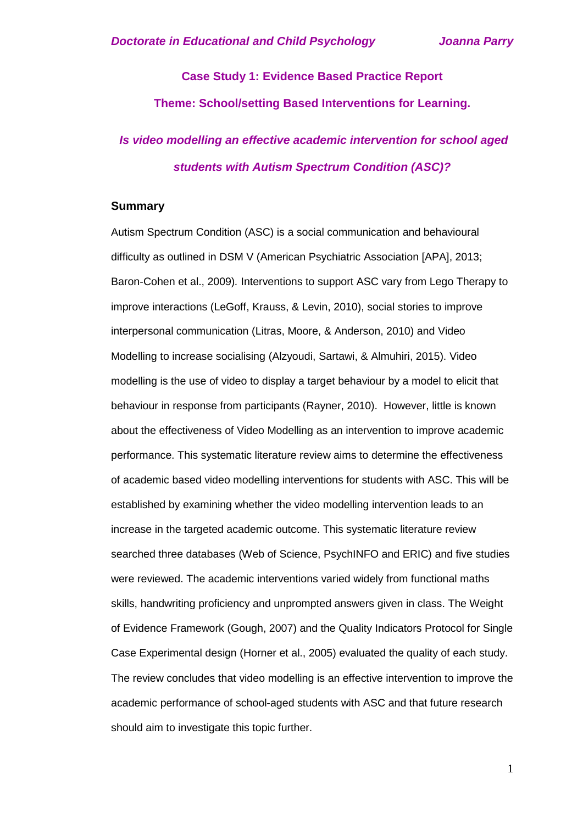# **Case Study 1: Evidence Based Practice Report Theme: School/setting Based Interventions for Learning.**

*Is video modelling an effective academic intervention for school aged students with Autism Spectrum Condition (ASC)?*

#### **Summary**

Autism Spectrum Condition (ASC) is a social communication and behavioural difficulty as outlined in DSM V (American Psychiatric Association [APA], 2013; Baron-Cohen et al., 2009)*.* Interventions to support ASC vary from Lego Therapy to improve interactions (LeGoff, Krauss, & Levin, 2010), social stories to improve interpersonal communication (Litras, Moore, & Anderson, 2010) and Video Modelling to increase socialising (Alzyoudi, Sartawi, & Almuhiri, 2015). Video modelling is the use of video to display a target behaviour by a model to elicit that behaviour in response from participants (Rayner, 2010). However, little is known about the effectiveness of Video Modelling as an intervention to improve academic performance. This systematic literature review aims to determine the effectiveness of academic based video modelling interventions for students with ASC. This will be established by examining whether the video modelling intervention leads to an increase in the targeted academic outcome. This systematic literature review searched three databases (Web of Science, PsychINFO and ERIC) and five studies were reviewed. The academic interventions varied widely from functional maths skills, handwriting proficiency and unprompted answers given in class. The Weight of Evidence Framework (Gough, 2007) and the Quality Indicators Protocol for Single Case Experimental design (Horner et al., 2005) evaluated the quality of each study. The review concludes that video modelling is an effective intervention to improve the academic performance of school-aged students with ASC and that future research should aim to investigate this topic further.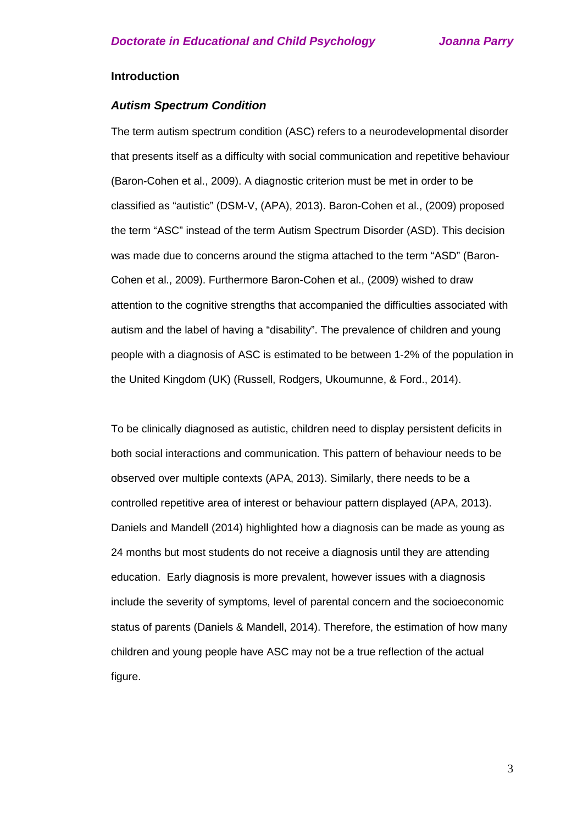#### **Introduction**

#### *Autism Spectrum Condition*

The term autism spectrum condition (ASC) refers to a neurodevelopmental disorder that presents itself as a difficulty with social communication and repetitive behaviour (Baron-Cohen et al., 2009). A diagnostic criterion must be met in order to be classified as "autistic" (DSM-V, (APA), 2013). Baron-Cohen et al., (2009) proposed the term "ASC" instead of the term Autism Spectrum Disorder (ASD). This decision was made due to concerns around the stigma attached to the term "ASD" (Baron-Cohen et al., 2009). Furthermore Baron-Cohen et al., (2009) wished to draw attention to the cognitive strengths that accompanied the difficulties associated with autism and the label of having a "disability". The prevalence of children and young people with a diagnosis of ASC is estimated to be between 1-2% of the population in the United Kingdom (UK) (Russell, Rodgers, Ukoumunne, & Ford., 2014).

To be clinically diagnosed as autistic, children need to display persistent deficits in both social interactions and communication. This pattern of behaviour needs to be observed over multiple contexts (APA, 2013). Similarly, there needs to be a controlled repetitive area of interest or behaviour pattern displayed (APA, 2013). Daniels and Mandell (2014) highlighted how a diagnosis can be made as young as 24 months but most students do not receive a diagnosis until they are attending education. Early diagnosis is more prevalent, however issues with a diagnosis include the severity of symptoms, level of parental concern and the socioeconomic status of parents (Daniels & Mandell, 2014). Therefore, the estimation of how many children and young people have ASC may not be a true reflection of the actual figure.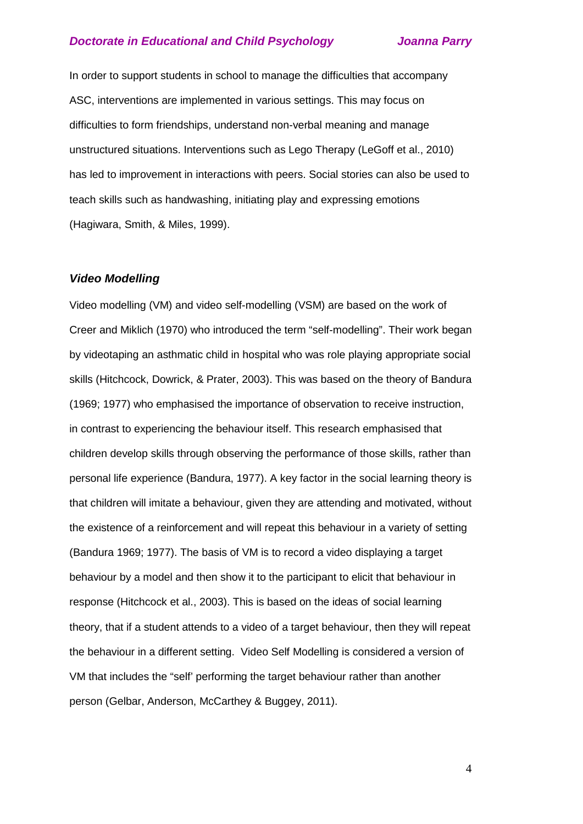In order to support students in school to manage the difficulties that accompany ASC, interventions are implemented in various settings. This may focus on difficulties to form friendships, understand non-verbal meaning and manage unstructured situations. Interventions such as Lego Therapy (LeGoff et al., 2010) has led to improvement in interactions with peers. Social stories can also be used to teach skills such as handwashing, initiating play and expressing emotions (Hagiwara, Smith, & Miles, 1999).

#### *Video Modelling*

Video modelling (VM) and video self-modelling (VSM) are based on the work of Creer and Miklich (1970) who introduced the term "self-modelling". Their work began by videotaping an asthmatic child in hospital who was role playing appropriate social skills (Hitchcock, Dowrick, & Prater, 2003). This was based on the theory of Bandura (1969; 1977) who emphasised the importance of observation to receive instruction, in contrast to experiencing the behaviour itself. This research emphasised that children develop skills through observing the performance of those skills, rather than personal life experience (Bandura, 1977). A key factor in the social learning theory is that children will imitate a behaviour, given they are attending and motivated, without the existence of a reinforcement and will repeat this behaviour in a variety of setting (Bandura 1969; 1977). The basis of VM is to record a video displaying a target behaviour by a model and then show it to the participant to elicit that behaviour in response (Hitchcock et al., 2003). This is based on the ideas of social learning theory, that if a student attends to a video of a target behaviour, then they will repeat the behaviour in a different setting. Video Self Modelling is considered a version of VM that includes the "self' performing the target behaviour rather than another person (Gelbar, Anderson, McCarthey & Buggey, 2011).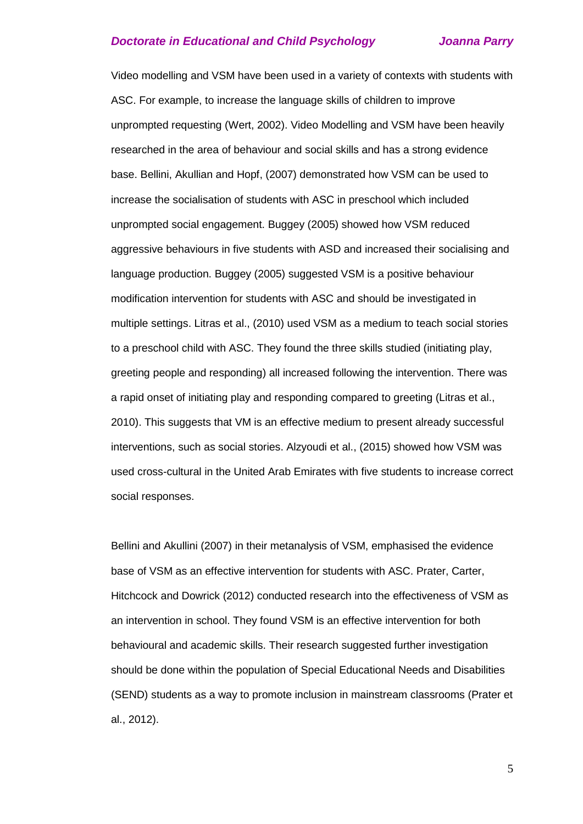Video modelling and VSM have been used in a variety of contexts with students with ASC. For example, to increase the language skills of children to improve unprompted requesting (Wert, 2002). Video Modelling and VSM have been heavily researched in the area of behaviour and social skills and has a strong evidence base. Bellini, Akullian and Hopf, (2007) demonstrated how VSM can be used to increase the socialisation of students with ASC in preschool which included unprompted social engagement. Buggey (2005) showed how VSM reduced aggressive behaviours in five students with ASD and increased their socialising and language production. Buggey (2005) suggested VSM is a positive behaviour modification intervention for students with ASC and should be investigated in multiple settings. Litras et al., (2010) used VSM as a medium to teach social stories to a preschool child with ASC. They found the three skills studied (initiating play, greeting people and responding) all increased following the intervention. There was a rapid onset of initiating play and responding compared to greeting (Litras et al., 2010). This suggests that VM is an effective medium to present already successful interventions, such as social stories. Alzyoudi et al., (2015) showed how VSM was used cross-cultural in the United Arab Emirates with five students to increase correct social responses.

Bellini and Akullini (2007) in their metanalysis of VSM, emphasised the evidence base of VSM as an effective intervention for students with ASC. Prater, Carter, Hitchcock and Dowrick (2012) conducted research into the effectiveness of VSM as an intervention in school. They found VSM is an effective intervention for both behavioural and academic skills. Their research suggested further investigation should be done within the population of Special Educational Needs and Disabilities (SEND) students as a way to promote inclusion in mainstream classrooms (Prater et al., 2012).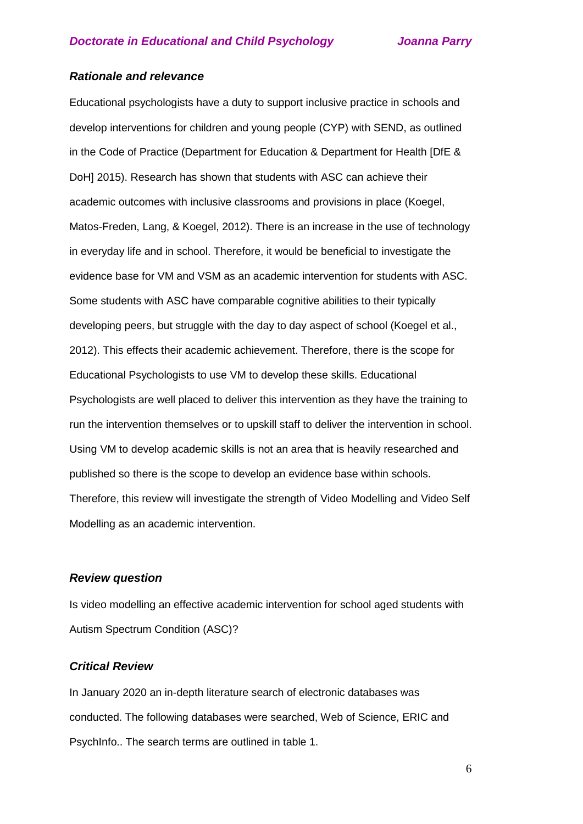### *Rationale and relevance*

Educational psychologists have a duty to support inclusive practice in schools and develop interventions for children and young people (CYP) with SEND, as outlined in the Code of Practice (Department for Education & Department for Health [DfE & DoH] 2015). Research has shown that students with ASC can achieve their academic outcomes with inclusive classrooms and provisions in place (Koegel, Matos-Freden, Lang, & Koegel, 2012). There is an increase in the use of technology in everyday life and in school. Therefore, it would be beneficial to investigate the evidence base for VM and VSM as an academic intervention for students with ASC. Some students with ASC have comparable cognitive abilities to their typically developing peers, but struggle with the day to day aspect of school (Koegel et al., 2012). This effects their academic achievement. Therefore, there is the scope for Educational Psychologists to use VM to develop these skills. Educational Psychologists are well placed to deliver this intervention as they have the training to run the intervention themselves or to upskill staff to deliver the intervention in school. Using VM to develop academic skills is not an area that is heavily researched and published so there is the scope to develop an evidence base within schools. Therefore, this review will investigate the strength of Video Modelling and Video Self Modelling as an academic intervention.

#### *Review question*

Is video modelling an effective academic intervention for school aged students with Autism Spectrum Condition (ASC)?

#### *Critical Review*

In January 2020 an in-depth literature search of electronic databases was conducted. The following databases were searched, Web of Science, ERIC and PsychInfo.. The search terms are outlined in table 1.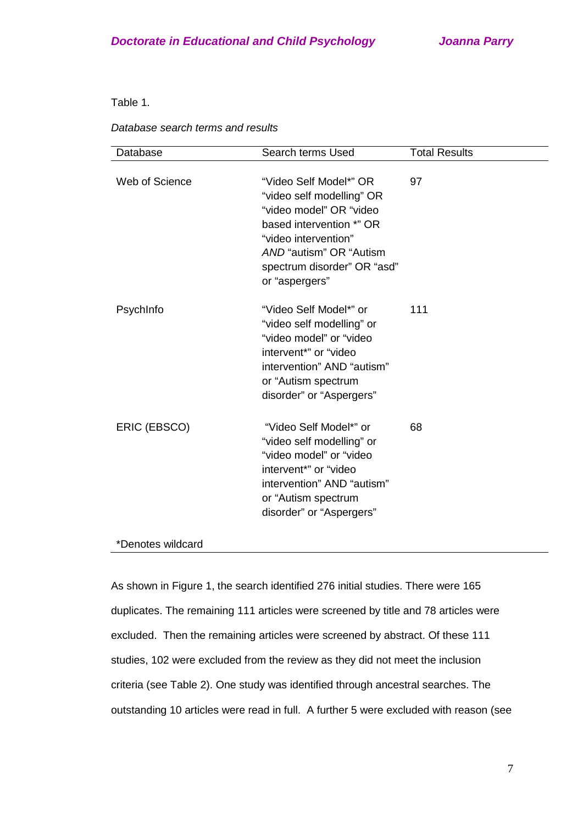## Table 1.

#### *Database search terms and results*

| Database          | Search terms Used                                                                                                                                                                                              | <b>Total Results</b> |
|-------------------|----------------------------------------------------------------------------------------------------------------------------------------------------------------------------------------------------------------|----------------------|
| Web of Science    | "Video Self Model*" OR<br>"video self modelling" OR<br>"video model" OR "video<br>based intervention *" OR<br>"video intervention"<br>AND "autism" OR "Autism<br>spectrum disorder" OR "asd"<br>or "aspergers" | 97                   |
| Psychinfo         | "Video Self Model*" or<br>"video self modelling" or<br>"video model" or "video<br>intervent*" or "video<br>intervention" AND "autism"<br>or "Autism spectrum<br>disorder" or "Aspergers"                       | 111                  |
| ERIC (EBSCO)      | "Video Self Model*" or<br>"video self modelling" or<br>"video model" or "video<br>intervent*" or "video<br>intervention" AND "autism"<br>or "Autism spectrum<br>disorder" or "Aspergers"                       | 68                   |
| *Denotes wildcard |                                                                                                                                                                                                                |                      |

As shown in Figure 1, the search identified 276 initial studies. There were 165 duplicates. The remaining 111 articles were screened by title and 78 articles were excluded. Then the remaining articles were screened by abstract. Of these 111 studies, 102 were excluded from the review as they did not meet the inclusion criteria (see Table 2). One study was identified through ancestral searches. The outstanding 10 articles were read in full. A further 5 were excluded with reason (see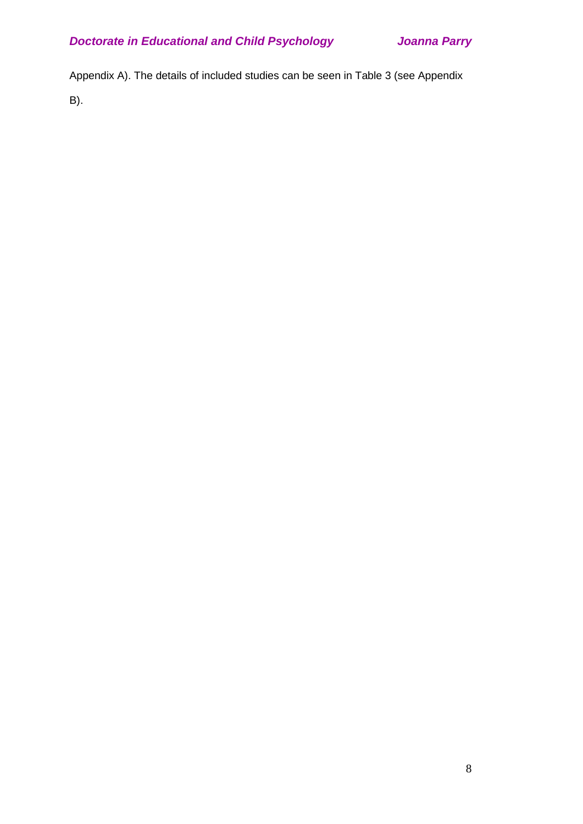Appendix A). The details of included studies can be seen in Table 3 (see Appendix

B).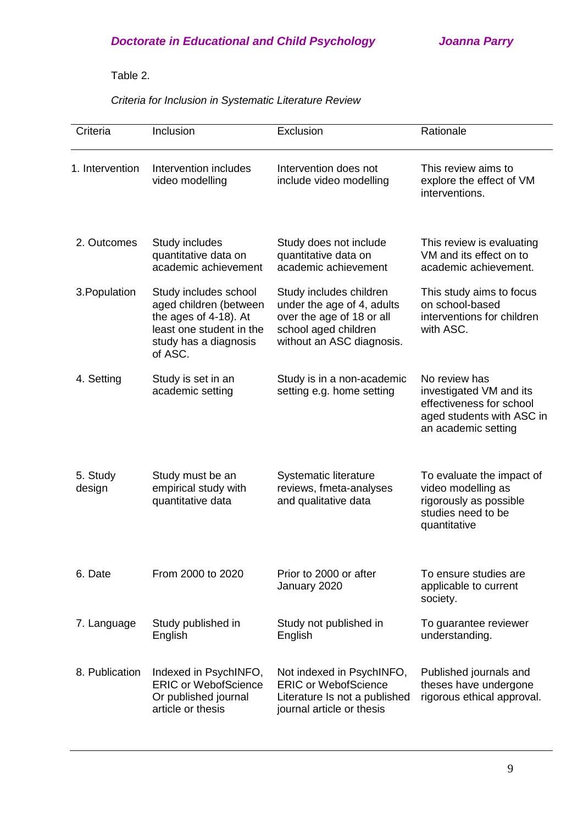# Table 2.

*Criteria for Inclusion in Systematic Literature Review*

| Criteria           | Inclusion                                                                                                                                | Exclusion                                                                                                                               | Rationale                                                                                                                |
|--------------------|------------------------------------------------------------------------------------------------------------------------------------------|-----------------------------------------------------------------------------------------------------------------------------------------|--------------------------------------------------------------------------------------------------------------------------|
| 1. Intervention    | Intervention includes<br>video modelling                                                                                                 | Intervention does not<br>include video modelling                                                                                        | This review aims to<br>explore the effect of VM<br>interventions.                                                        |
| 2. Outcomes        | Study includes<br>quantitative data on<br>academic achievement                                                                           | Study does not include<br>quantitative data on<br>academic achievement                                                                  | This review is evaluating<br>VM and its effect on to<br>academic achievement.                                            |
| 3. Population      | Study includes school<br>aged children (between<br>the ages of 4-18). At<br>least one student in the<br>study has a diagnosis<br>of ASC. | Study includes children<br>under the age of 4, adults<br>over the age of 18 or all<br>school aged children<br>without an ASC diagnosis. | This study aims to focus<br>on school-based<br>interventions for children<br>with ASC.                                   |
| 4. Setting         | Study is set in an<br>academic setting                                                                                                   | Study is in a non-academic<br>setting e.g. home setting                                                                                 | No review has<br>investigated VM and its<br>effectiveness for school<br>aged students with ASC in<br>an academic setting |
| 5. Study<br>design | Study must be an<br>empirical study with<br>quantitative data                                                                            | <b>Systematic literature</b><br>reviews, fmeta-analyses<br>and qualitative data                                                         | To evaluate the impact of<br>video modelling as<br>rigorously as possible<br>studies need to be<br>quantitative          |
| 6. Date            | From 2000 to 2020                                                                                                                        | Prior to 2000 or after<br>January 2020                                                                                                  | To ensure studies are<br>applicable to current<br>society.                                                               |
| 7. Language        | Study published in<br>English                                                                                                            | Study not published in<br>English                                                                                                       | To guarantee reviewer<br>understanding.                                                                                  |
| 8. Publication     | Indexed in PsychINFO,<br><b>ERIC or WebofScience</b><br>Or published journal<br>article or thesis                                        | Not indexed in PsychINFO,<br><b>ERIC or WebofScience</b><br>Literature Is not a published<br>journal article or thesis                  | Published journals and<br>theses have undergone<br>rigorous ethical approval.                                            |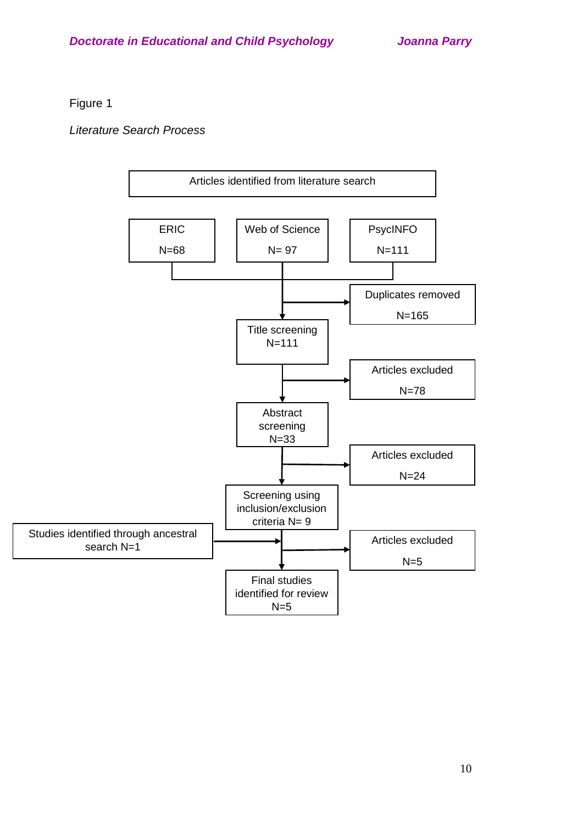# Figure 1

*Literature Search Process*

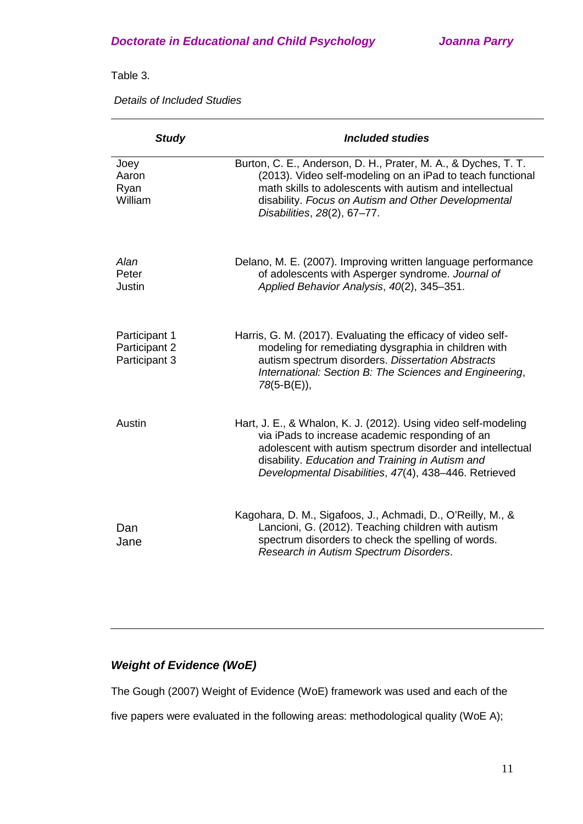## Table 3.

*Details of Included Studies* 

| <b>Study</b>                                    | <b>Included studies</b>                                                                                                                                                                                                                                                                     |
|-------------------------------------------------|---------------------------------------------------------------------------------------------------------------------------------------------------------------------------------------------------------------------------------------------------------------------------------------------|
| Joey<br>Aaron<br>Ryan<br>William                | Burton, C. E., Anderson, D. H., Prater, M. A., & Dyches, T. T.<br>(2013). Video self-modeling on an iPad to teach functional<br>math skills to adolescents with autism and intellectual<br>disability. Focus on Autism and Other Developmental<br>Disabilities, 28(2), 67-77.               |
| Alan<br>Peter<br>Justin                         | Delano, M. E. (2007). Improving written language performance<br>of adolescents with Asperger syndrome. Journal of<br>Applied Behavior Analysis, 40(2), 345-351.                                                                                                                             |
| Participant 1<br>Participant 2<br>Participant 3 | Harris, G. M. (2017). Evaluating the efficacy of video self-<br>modeling for remediating dysgraphia in children with<br>autism spectrum disorders. Dissertation Abstracts<br>International: Section B: The Sciences and Engineering,<br>$78(5-B(E)),$                                       |
| Austin                                          | Hart, J. E., & Whalon, K. J. (2012). Using video self-modeling<br>via iPads to increase academic responding of an<br>adolescent with autism spectrum disorder and intellectual<br>disability. Education and Training in Autism and<br>Developmental Disabilities, 47(4), 438-446. Retrieved |
| Dan<br>Jane                                     | Kagohara, D. M., Sigafoos, J., Achmadi, D., O'Reilly, M., &<br>Lancioni, G. (2012). Teaching children with autism<br>spectrum disorders to check the spelling of words.<br>Research in Autism Spectrum Disorders.                                                                           |

# *Weight of Evidence (WoE)*

The Gough (2007) Weight of Evidence (WoE) framework was used and each of the

five papers were evaluated in the following areas: methodological quality (WoE A);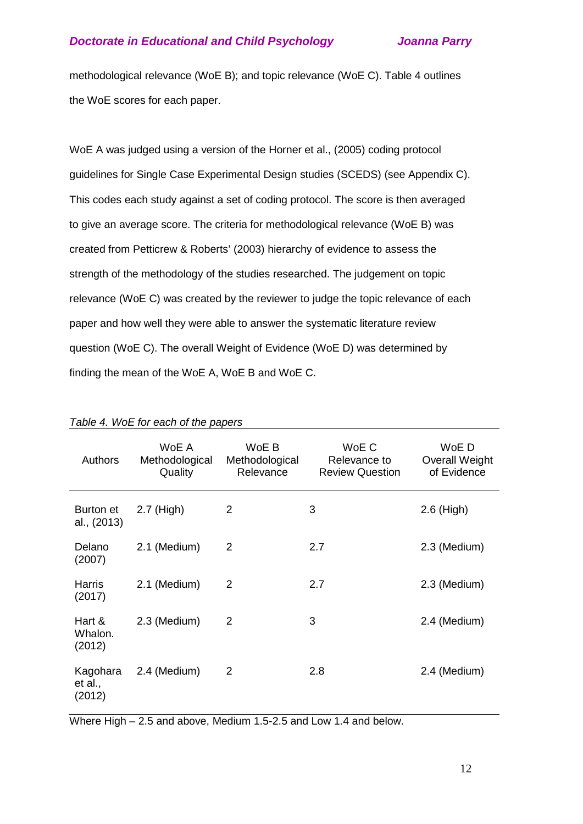methodological relevance (WoE B); and topic relevance (WoE C). Table 4 outlines the WoE scores for each paper.

WoE A was judged using a version of the Horner et al., (2005) coding protocol guidelines for Single Case Experimental Design studies (SCEDS) (see Appendix C). This codes each study against a set of coding protocol. The score is then averaged to give an average score. The criteria for methodological relevance (WoE B) was created from Petticrew & Roberts' (2003) hierarchy of evidence to assess the strength of the methodology of the studies researched. The judgement on topic relevance (WoE C) was created by the reviewer to judge the topic relevance of each paper and how well they were able to answer the systematic literature review question (WoE C). The overall Weight of Evidence (WoE D) was determined by finding the mean of the WoE A, WoE B and WoE C.

| Authors                       | WoE A<br>Methodological<br>Quality | WoE B<br>Methodological<br>Relevance | WoE C<br>Relevance to<br><b>Review Question</b> | WoE D<br><b>Overall Weight</b><br>of Evidence |
|-------------------------------|------------------------------------|--------------------------------------|-------------------------------------------------|-----------------------------------------------|
| Burton et<br>al., (2013)      | 2.7 (High)                         | 2                                    | 3                                               | 2.6 (High)                                    |
| Delano<br>(2007)              | 2.1 (Medium)                       | 2                                    | 2.7                                             | 2.3 (Medium)                                  |
| Harris<br>(2017)              | 2.1 (Medium)                       | 2                                    | 2.7                                             | 2.3 (Medium)                                  |
| Hart &<br>Whalon.<br>(2012)   | 2.3 (Medium)                       | 2                                    | 3                                               | 2.4 (Medium)                                  |
| Kagohara<br>et al.,<br>(2012) | 2.4 (Medium)                       | 2                                    | 2.8                                             | 2.4 (Medium)                                  |

*Table 4. WoE for each of the papers*

Where High – 2.5 and above, Medium 1.5-2.5 and Low 1.4 and below.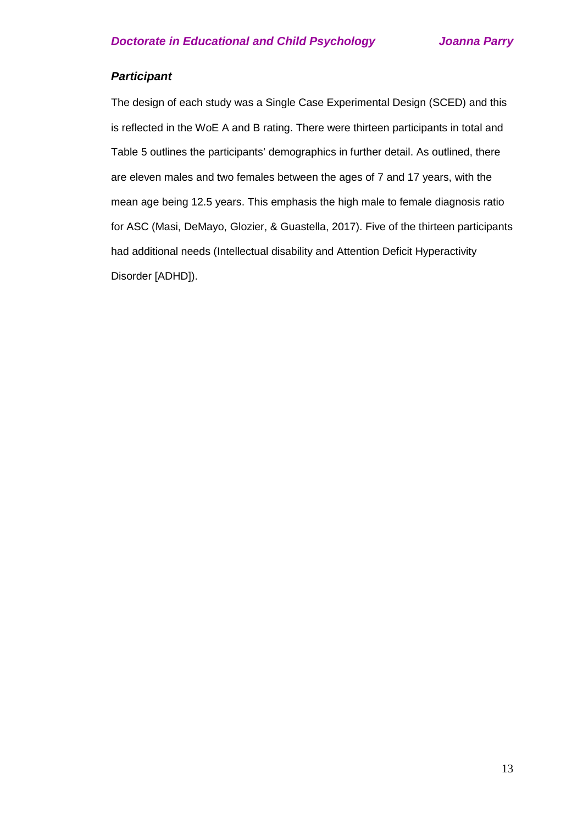## *Participant*

The design of each study was a Single Case Experimental Design (SCED) and this is reflected in the WoE A and B rating. There were thirteen participants in total and Table 5 outlines the participants' demographics in further detail. As outlined, there are eleven males and two females between the ages of 7 and 17 years, with the mean age being 12.5 years. This emphasis the high male to female diagnosis ratio for ASC (Masi, DeMayo, Glozier, & Guastella, 2017). Five of the thirteen participants had additional needs (Intellectual disability and Attention Deficit Hyperactivity Disorder [ADHD]).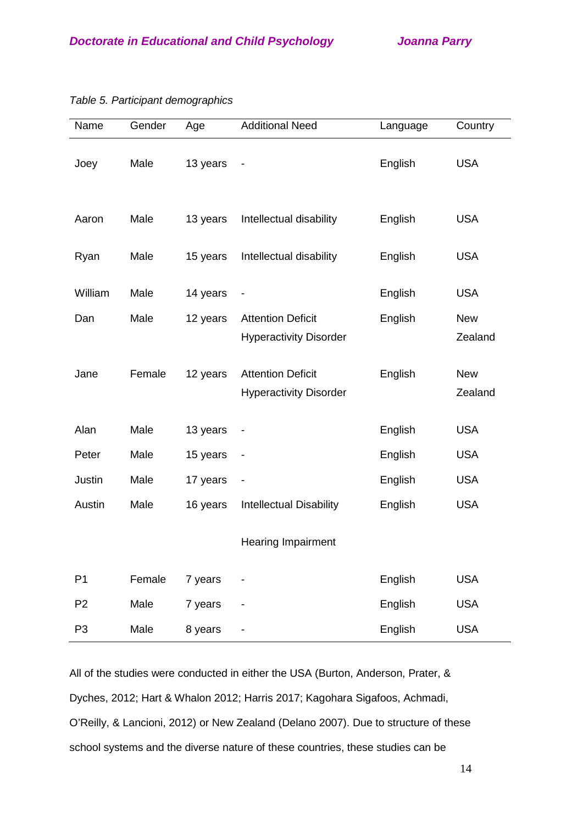| Name           | Gender | Age      | <b>Additional Need</b>                                    | Language | Country               |
|----------------|--------|----------|-----------------------------------------------------------|----------|-----------------------|
| Joey           | Male   | 13 years | $\qquad \qquad \blacksquare$                              | English  | <b>USA</b>            |
| Aaron          | Male   | 13 years | Intellectual disability                                   | English  | <b>USA</b>            |
| Ryan           | Male   | 15 years | Intellectual disability                                   | English  | <b>USA</b>            |
| William        | Male   | 14 years | $\overline{\phantom{0}}$                                  | English  | <b>USA</b>            |
| Dan            | Male   | 12 years | <b>Attention Deficit</b><br><b>Hyperactivity Disorder</b> | English  | <b>New</b><br>Zealand |
| Jane           | Female | 12 years | <b>Attention Deficit</b><br><b>Hyperactivity Disorder</b> | English  | <b>New</b><br>Zealand |
| Alan           | Male   | 13 years |                                                           | English  | <b>USA</b>            |
| Peter          | Male   | 15 years | $\overline{\phantom{0}}$                                  | English  | <b>USA</b>            |
| Justin         | Male   | 17 years | $\qquad \qquad \blacksquare$                              | English  | <b>USA</b>            |
| Austin         | Male   | 16 years | <b>Intellectual Disability</b>                            | English  | <b>USA</b>            |
|                |        |          | <b>Hearing Impairment</b>                                 |          |                       |
| P <sub>1</sub> | Female | 7 years  |                                                           | English  | <b>USA</b>            |
| P <sub>2</sub> | Male   | 7 years  |                                                           | English  | <b>USA</b>            |
| P <sub>3</sub> | Male   | 8 years  |                                                           | English  | <b>USA</b>            |

All of the studies were conducted in either the USA (Burton, Anderson, Prater, & Dyches, 2012; Hart & Whalon 2012; Harris 2017; Kagohara Sigafoos, Achmadi, O'Reilly, & Lancioni, 2012) or New Zealand (Delano 2007). Due to structure of these school systems and the diverse nature of these countries, these studies can be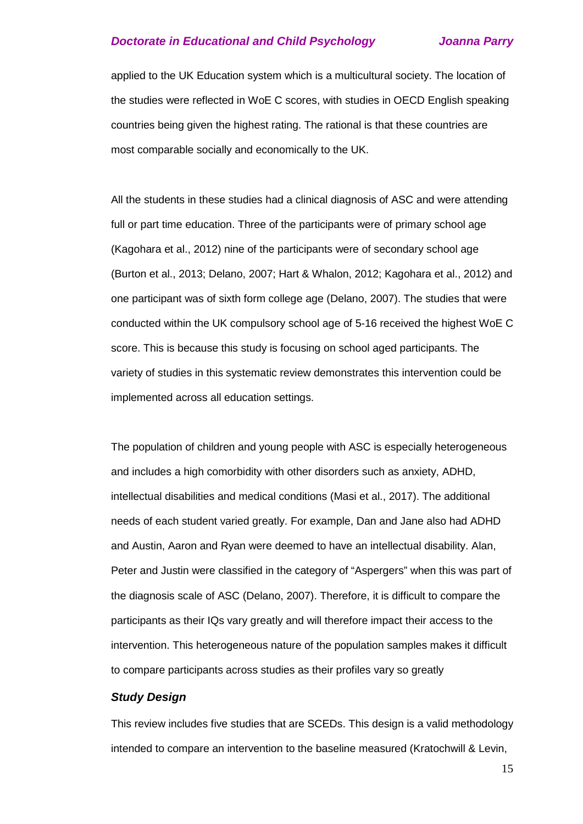applied to the UK Education system which is a multicultural society. The location of the studies were reflected in WoE C scores, with studies in OECD English speaking countries being given the highest rating. The rational is that these countries are most comparable socially and economically to the UK.

All the students in these studies had a clinical diagnosis of ASC and were attending full or part time education. Three of the participants were of primary school age (Kagohara et al., 2012) nine of the participants were of secondary school age (Burton et al., 2013; Delano, 2007; Hart & Whalon, 2012; Kagohara et al., 2012) and one participant was of sixth form college age (Delano, 2007). The studies that were conducted within the UK compulsory school age of 5-16 received the highest WoE C score. This is because this study is focusing on school aged participants. The variety of studies in this systematic review demonstrates this intervention could be implemented across all education settings.

The population of children and young people with ASC is especially heterogeneous and includes a high comorbidity with other disorders such as anxiety, ADHD, intellectual disabilities and medical conditions (Masi et al., 2017). The additional needs of each student varied greatly. For example, Dan and Jane also had ADHD and Austin, Aaron and Ryan were deemed to have an intellectual disability. Alan, Peter and Justin were classified in the category of "Aspergers" when this was part of the diagnosis scale of ASC (Delano, 2007). Therefore, it is difficult to compare the participants as their IQs vary greatly and will therefore impact their access to the intervention. This heterogeneous nature of the population samples makes it difficult to compare participants across studies as their profiles vary so greatly

## *Study Design*

This review includes five studies that are SCEDs. This design is a valid methodology intended to compare an intervention to the baseline measured (Kratochwill & Levin,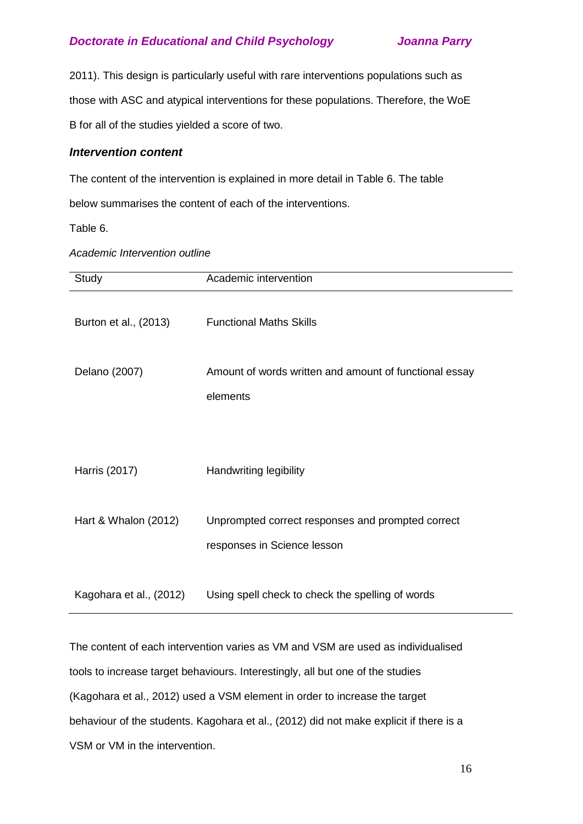2011). This design is particularly useful with rare interventions populations such as those with ASC and atypical interventions for these populations. Therefore, the WoE B for all of the studies yielded a score of two.

## *Intervention content*

The content of the intervention is explained in more detail in Table 6. The table

below summarises the content of each of the interventions.

Table 6.

*Academic Intervention outline*

| Study                   | Academic intervention                                                            |
|-------------------------|----------------------------------------------------------------------------------|
| Burton et al., (2013)   | <b>Functional Maths Skills</b>                                                   |
| Delano (2007)           | Amount of words written and amount of functional essay<br>elements               |
| Harris (2017)           | Handwriting legibility                                                           |
| Hart & Whalon (2012)    | Unprompted correct responses and prompted correct<br>responses in Science lesson |
| Kagohara et al., (2012) | Using spell check to check the spelling of words                                 |

The content of each intervention varies as VM and VSM are used as individualised tools to increase target behaviours. Interestingly, all but one of the studies (Kagohara et al., 2012) used a VSM element in order to increase the target behaviour of the students. Kagohara et al., (2012) did not make explicit if there is a VSM or VM in the intervention.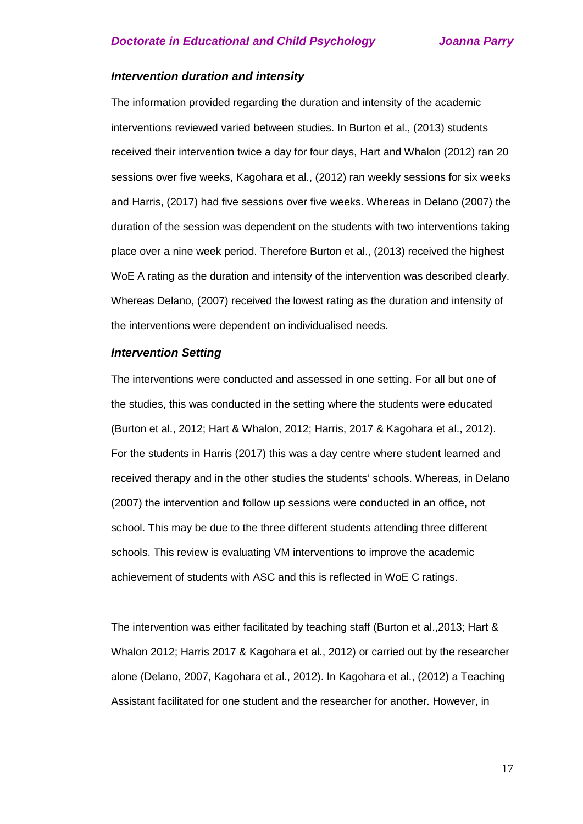#### *Intervention duration and intensity*

The information provided regarding the duration and intensity of the academic interventions reviewed varied between studies. In Burton et al., (2013) students received their intervention twice a day for four days, Hart and Whalon (2012) ran 20 sessions over five weeks, Kagohara et al., (2012) ran weekly sessions for six weeks and Harris, (2017) had five sessions over five weeks. Whereas in Delano (2007) the duration of the session was dependent on the students with two interventions taking place over a nine week period. Therefore Burton et al., (2013) received the highest WoE A rating as the duration and intensity of the intervention was described clearly. Whereas Delano, (2007) received the lowest rating as the duration and intensity of the interventions were dependent on individualised needs.

#### *Intervention Setting*

The interventions were conducted and assessed in one setting. For all but one of the studies, this was conducted in the setting where the students were educated (Burton et al., 2012; Hart & Whalon, 2012; Harris, 2017 & Kagohara et al., 2012). For the students in Harris (2017) this was a day centre where student learned and received therapy and in the other studies the students' schools. Whereas, in Delano (2007) the intervention and follow up sessions were conducted in an office, not school. This may be due to the three different students attending three different schools. This review is evaluating VM interventions to improve the academic achievement of students with ASC and this is reflected in WoE C ratings.

The intervention was either facilitated by teaching staff (Burton et al.,2013; Hart & Whalon 2012; Harris 2017 & Kagohara et al., 2012) or carried out by the researcher alone (Delano, 2007, Kagohara et al., 2012). In Kagohara et al., (2012) a Teaching Assistant facilitated for one student and the researcher for another. However, in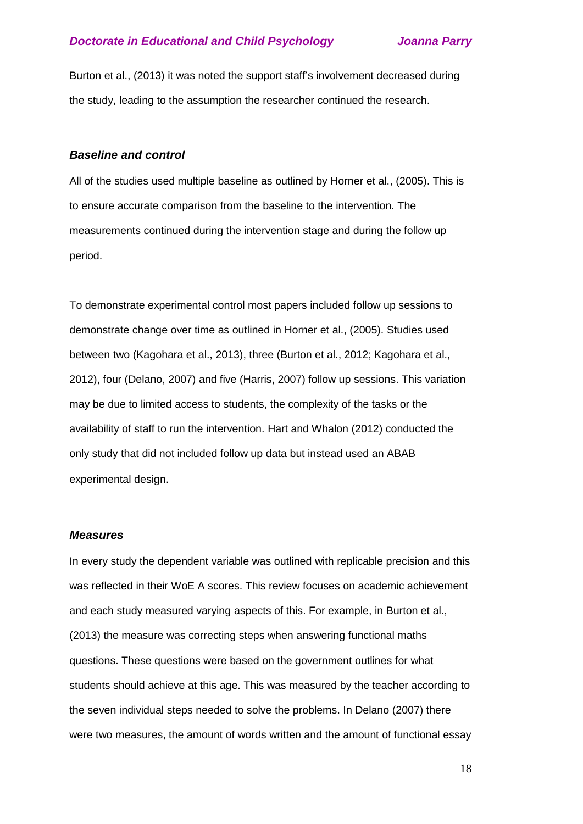Burton et al., (2013) it was noted the support staff's involvement decreased during the study, leading to the assumption the researcher continued the research.

#### *Baseline and control*

All of the studies used multiple baseline as outlined by Horner et al., (2005). This is to ensure accurate comparison from the baseline to the intervention. The measurements continued during the intervention stage and during the follow up period.

To demonstrate experimental control most papers included follow up sessions to demonstrate change over time as outlined in Horner et al., (2005). Studies used between two (Kagohara et al., 2013), three (Burton et al., 2012; Kagohara et al., 2012), four (Delano, 2007) and five (Harris, 2007) follow up sessions. This variation may be due to limited access to students, the complexity of the tasks or the availability of staff to run the intervention. Hart and Whalon (2012) conducted the only study that did not included follow up data but instead used an ABAB experimental design.

#### *Measures*

In every study the dependent variable was outlined with replicable precision and this was reflected in their WoE A scores. This review focuses on academic achievement and each study measured varying aspects of this. For example, in Burton et al., (2013) the measure was correcting steps when answering functional maths questions. These questions were based on the government outlines for what students should achieve at this age. This was measured by the teacher according to the seven individual steps needed to solve the problems. In Delano (2007) there were two measures, the amount of words written and the amount of functional essay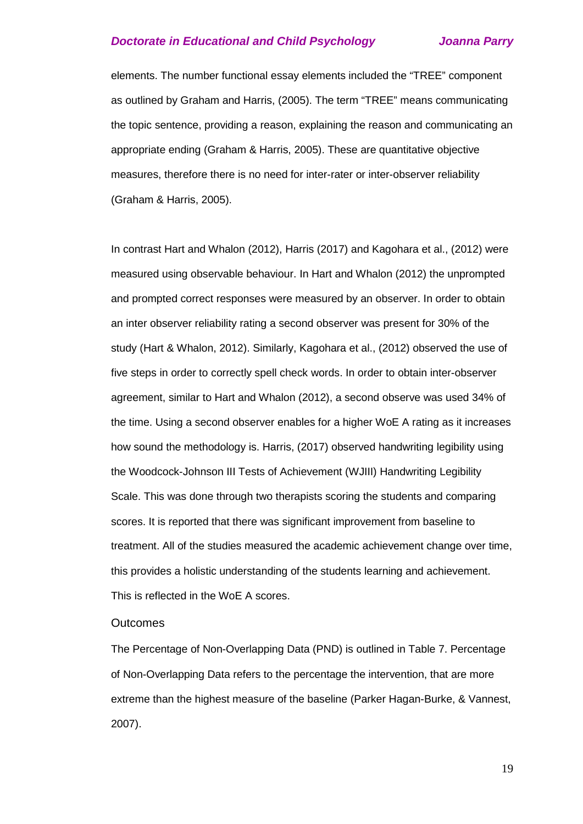elements. The number functional essay elements included the "TREE" component as outlined by Graham and Harris, (2005). The term "TREE" means communicating the topic sentence, providing a reason, explaining the reason and communicating an appropriate ending (Graham & Harris, 2005). These are quantitative objective measures, therefore there is no need for inter-rater or inter-observer reliability (Graham & Harris, 2005).

In contrast Hart and Whalon (2012), Harris (2017) and Kagohara et al., (2012) were measured using observable behaviour. In Hart and Whalon (2012) the unprompted and prompted correct responses were measured by an observer. In order to obtain an inter observer reliability rating a second observer was present for 30% of the study (Hart & Whalon, 2012). Similarly, Kagohara et al., (2012) observed the use of five steps in order to correctly spell check words. In order to obtain inter-observer agreement, similar to Hart and Whalon (2012), a second observe was used 34% of the time. Using a second observer enables for a higher WoE A rating as it increases how sound the methodology is. Harris, (2017) observed handwriting legibility using the Woodcock-Johnson III Tests of Achievement (WJIII) Handwriting Legibility Scale. This was done through two therapists scoring the students and comparing scores. It is reported that there was significant improvement from baseline to treatment. All of the studies measured the academic achievement change over time, this provides a holistic understanding of the students learning and achievement. This is reflected in the WoE A scores.

#### **Outcomes**

The Percentage of Non-Overlapping Data (PND) is outlined in Table 7. Percentage of Non-Overlapping Data refers to the percentage the intervention, that are more extreme than the highest measure of the baseline (Parker Hagan-Burke, & Vannest, 2007).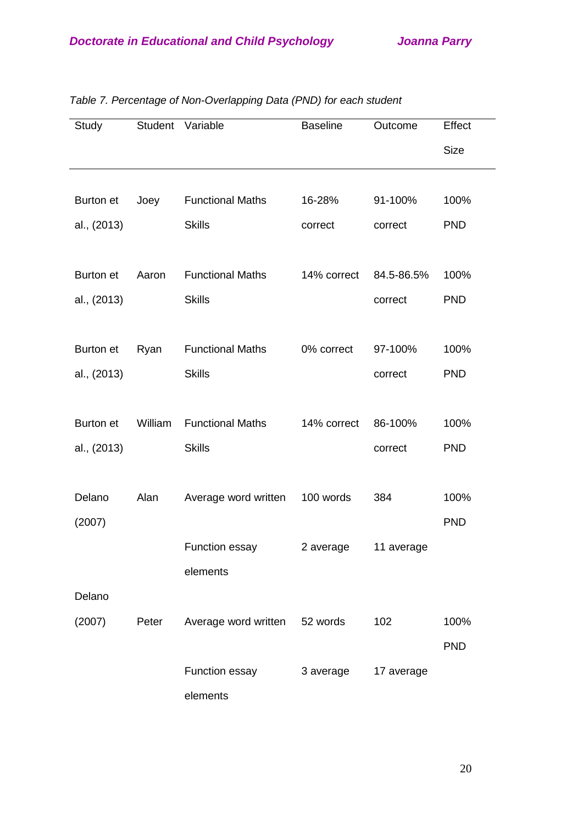| Study            | Student | Variable                | <b>Baseline</b> | Outcome    | Effect      |
|------------------|---------|-------------------------|-----------------|------------|-------------|
|                  |         |                         |                 |            | <b>Size</b> |
|                  |         |                         |                 |            |             |
| Burton et        | Joey    | <b>Functional Maths</b> | 16-28%          | 91-100%    | 100%        |
| al., (2013)      |         | <b>Skills</b>           | correct         | correct    | <b>PND</b>  |
|                  |         |                         |                 |            |             |
| <b>Burton</b> et | Aaron   | <b>Functional Maths</b> | 14% correct     | 84.5-86.5% | 100%        |
| al., (2013)      |         | <b>Skills</b>           |                 | correct    | <b>PND</b>  |
|                  |         |                         |                 |            |             |
| Burton et        | Ryan    | <b>Functional Maths</b> | 0% correct      | 97-100%    | 100%        |
| al., (2013)      |         | <b>Skills</b>           |                 | correct    | <b>PND</b>  |
|                  |         |                         |                 |            |             |
| <b>Burton</b> et | William | <b>Functional Maths</b> | 14% correct     | 86-100%    | 100%        |
| al., (2013)      |         | <b>Skills</b>           |                 | correct    | <b>PND</b>  |
|                  |         |                         |                 |            |             |
| Delano           | Alan    | Average word written    | 100 words       | 384        | 100%        |
| (2007)           |         |                         |                 |            | <b>PND</b>  |
|                  |         | Function essay          | 2 average       | 11 average |             |
|                  |         | elements                |                 |            |             |
| Delano           |         |                         |                 |            |             |
| (2007)           | Peter   | Average word written    | 52 words        | 102        | 100%        |
|                  |         |                         |                 |            | <b>PND</b>  |
|                  |         | Function essay          | 3 average       | 17 average |             |
|                  |         | elements                |                 |            |             |

# *Table 7. Percentage of Non-Overlapping Data (PND) for each student*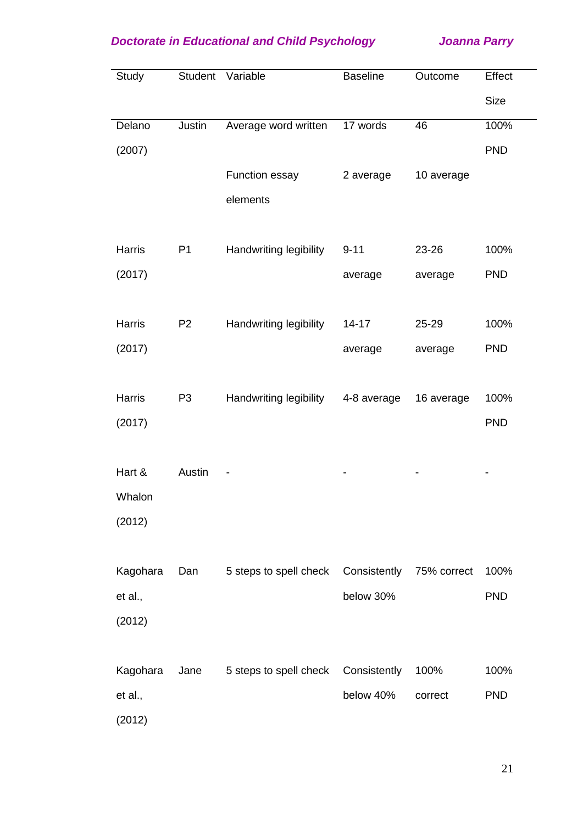| Study         | Student        | Variable               | <b>Baseline</b> | Outcome     | Effect      |
|---------------|----------------|------------------------|-----------------|-------------|-------------|
|               |                |                        |                 |             | <b>Size</b> |
| Delano        | Justin         | Average word written   | 17 words        | 46          | 100%        |
| (2007)        |                |                        |                 |             | <b>PND</b>  |
|               |                | Function essay         | 2 average       | 10 average  |             |
|               |                | elements               |                 |             |             |
|               |                |                        |                 |             |             |
| Harris        | P <sub>1</sub> | Handwriting legibility | $9 - 11$        | 23-26       | 100%        |
| (2017)        |                |                        | average         | average     | <b>PND</b>  |
|               |                |                        |                 |             |             |
| <b>Harris</b> | P <sub>2</sub> | Handwriting legibility | $14 - 17$       | 25-29       | 100%        |
| (2017)        |                |                        | average         | average     | <b>PND</b>  |
|               |                |                        |                 |             |             |
| Harris        | P <sub>3</sub> | Handwriting legibility | 4-8 average     | 16 average  | 100%        |
| (2017)        |                |                        |                 |             | <b>PND</b>  |
|               |                |                        |                 |             |             |
| Hart &        | Austin         |                        |                 |             |             |
| Whalon        |                |                        |                 |             |             |
| (2012)        |                |                        |                 |             |             |
|               |                |                        |                 |             |             |
| Kagohara      | Dan            | 5 steps to spell check | Consistently    | 75% correct | 100%        |
| et al.,       |                |                        | below 30%       |             | <b>PND</b>  |
| (2012)        |                |                        |                 |             |             |
|               |                |                        |                 |             |             |
| Kagohara      | Jane           | 5 steps to spell check | Consistently    | 100%        | 100%        |
| et al.,       |                |                        | below 40%       | correct     | <b>PND</b>  |
| (2012)        |                |                        |                 |             |             |
|               |                |                        |                 |             |             |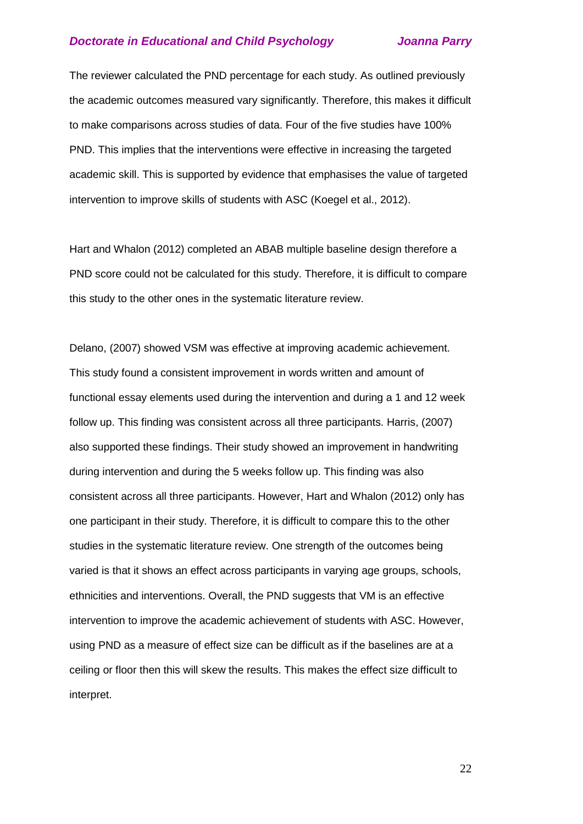The reviewer calculated the PND percentage for each study. As outlined previously the academic outcomes measured vary significantly. Therefore, this makes it difficult to make comparisons across studies of data. Four of the five studies have 100% PND. This implies that the interventions were effective in increasing the targeted academic skill. This is supported by evidence that emphasises the value of targeted intervention to improve skills of students with ASC (Koegel et al., 2012).

Hart and Whalon (2012) completed an ABAB multiple baseline design therefore a PND score could not be calculated for this study. Therefore, it is difficult to compare this study to the other ones in the systematic literature review.

Delano, (2007) showed VSM was effective at improving academic achievement. This study found a consistent improvement in words written and amount of functional essay elements used during the intervention and during a 1 and 12 week follow up. This finding was consistent across all three participants. Harris, (2007) also supported these findings. Their study showed an improvement in handwriting during intervention and during the 5 weeks follow up. This finding was also consistent across all three participants. However, Hart and Whalon (2012) only has one participant in their study. Therefore, it is difficult to compare this to the other studies in the systematic literature review. One strength of the outcomes being varied is that it shows an effect across participants in varying age groups, schools, ethnicities and interventions. Overall, the PND suggests that VM is an effective intervention to improve the academic achievement of students with ASC. However, using PND as a measure of effect size can be difficult as if the baselines are at a ceiling or floor then this will skew the results. This makes the effect size difficult to interpret.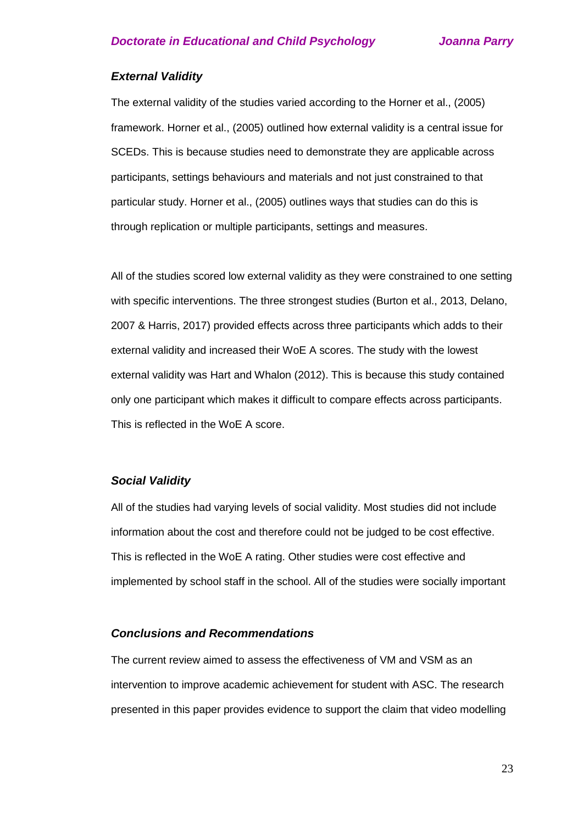### *External Validity*

The external validity of the studies varied according to the Horner et al., (2005) framework. Horner et al., (2005) outlined how external validity is a central issue for SCEDs. This is because studies need to demonstrate they are applicable across participants, settings behaviours and materials and not just constrained to that particular study. Horner et al., (2005) outlines ways that studies can do this is through replication or multiple participants, settings and measures.

All of the studies scored low external validity as they were constrained to one setting with specific interventions. The three strongest studies (Burton et al., 2013, Delano, 2007 & Harris, 2017) provided effects across three participants which adds to their external validity and increased their WoE A scores. The study with the lowest external validity was Hart and Whalon (2012). This is because this study contained only one participant which makes it difficult to compare effects across participants. This is reflected in the WoE A score.

#### *Social Validity*

All of the studies had varying levels of social validity. Most studies did not include information about the cost and therefore could not be judged to be cost effective. This is reflected in the WoE A rating. Other studies were cost effective and implemented by school staff in the school. All of the studies were socially important

#### *Conclusions and Recommendations*

The current review aimed to assess the effectiveness of VM and VSM as an intervention to improve academic achievement for student with ASC. The research presented in this paper provides evidence to support the claim that video modelling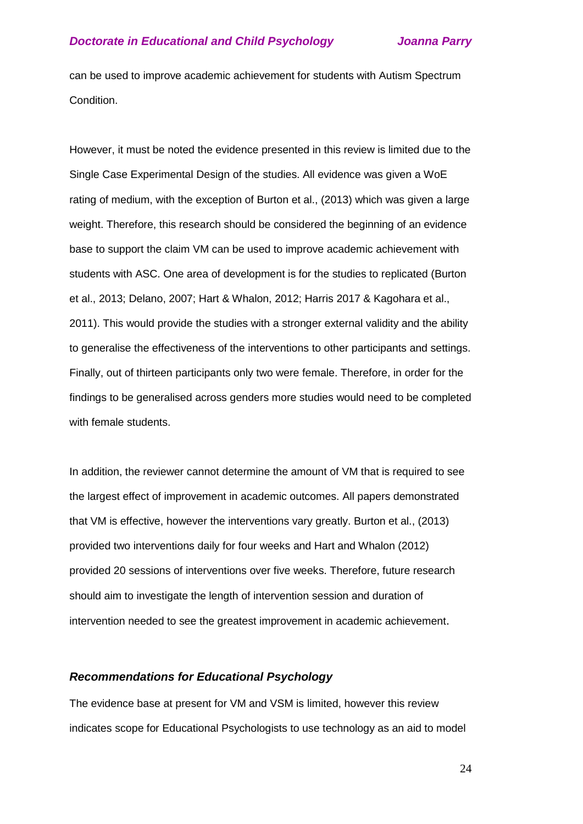can be used to improve academic achievement for students with Autism Spectrum Condition.

However, it must be noted the evidence presented in this review is limited due to the Single Case Experimental Design of the studies. All evidence was given a WoE rating of medium, with the exception of Burton et al., (2013) which was given a large weight. Therefore, this research should be considered the beginning of an evidence base to support the claim VM can be used to improve academic achievement with students with ASC. One area of development is for the studies to replicated (Burton et al., 2013; Delano, 2007; Hart & Whalon, 2012; Harris 2017 & Kagohara et al., 2011). This would provide the studies with a stronger external validity and the ability to generalise the effectiveness of the interventions to other participants and settings. Finally, out of thirteen participants only two were female. Therefore, in order for the findings to be generalised across genders more studies would need to be completed with female students.

In addition, the reviewer cannot determine the amount of VM that is required to see the largest effect of improvement in academic outcomes. All papers demonstrated that VM is effective, however the interventions vary greatly. Burton et al., (2013) provided two interventions daily for four weeks and Hart and Whalon (2012) provided 20 sessions of interventions over five weeks. Therefore, future research should aim to investigate the length of intervention session and duration of intervention needed to see the greatest improvement in academic achievement.

#### *Recommendations for Educational Psychology*

The evidence base at present for VM and VSM is limited, however this review indicates scope for Educational Psychologists to use technology as an aid to model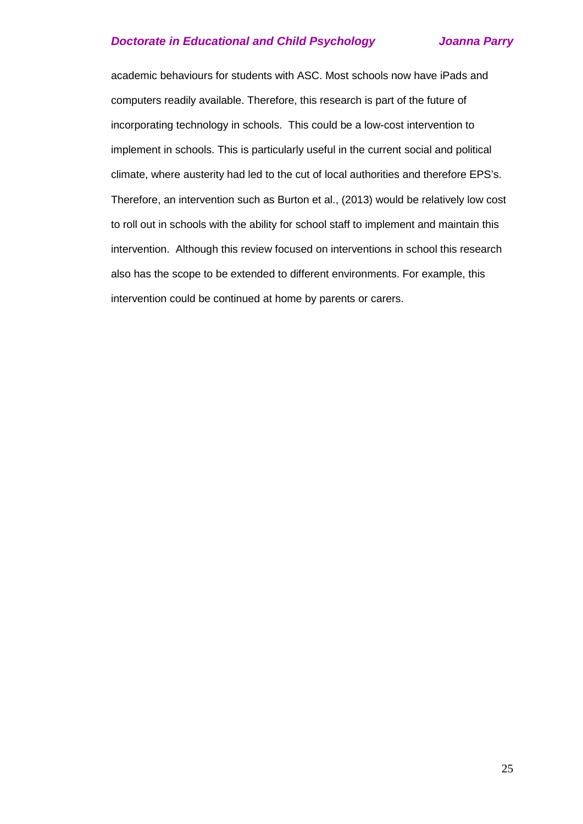academic behaviours for students with ASC. Most schools now have iPads and computers readily available. Therefore, this research is part of the future of incorporating technology in schools. This could be a low-cost intervention to implement in schools. This is particularly useful in the current social and political climate, where austerity had led to the cut of local authorities and therefore EPS's. Therefore, an intervention such as Burton et al., (2013) would be relatively low cost to roll out in schools with the ability for school staff to implement and maintain this intervention. Although this review focused on interventions in school this research also has the scope to be extended to different environments. For example, this intervention could be continued at home by parents or carers.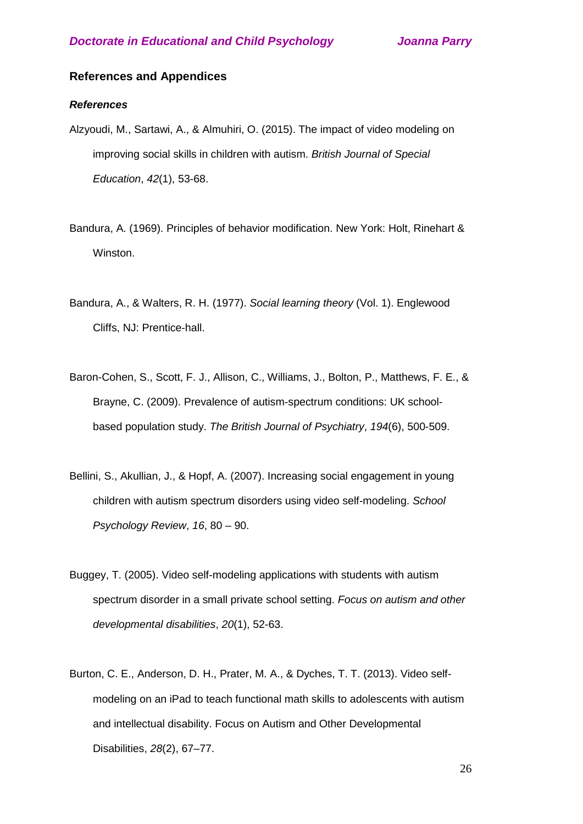### **References and Appendices**

#### *References*

- Alzyoudi, M., Sartawi, A., & Almuhiri, O. (2015). The impact of video modeling on improving social skills in children with autism. *British Journal of Special Education*, *42*(1), 53-68.
- Bandura, A. (1969). Principles of behavior modification. New York: Holt, Rinehart & Winston.
- Bandura, A., & Walters, R. H. (1977). *Social learning theory* (Vol. 1). Englewood Cliffs, NJ: Prentice-hall.
- Baron-Cohen, S., Scott, F. J., Allison, C., Williams, J., Bolton, P., Matthews, F. E., & Brayne, C. (2009). Prevalence of autism-spectrum conditions: UK schoolbased population study. *The British Journal of Psychiatry*, *194*(6), 500-509.
- Bellini, S., Akullian, J., & Hopf, A. (2007). Increasing social engagement in young children with autism spectrum disorders using video self-modeling. *School Psychology Review*, *16*, 80 – 90.
- Buggey, T. (2005). Video self-modeling applications with students with autism spectrum disorder in a small private school setting. *Focus on autism and other developmental disabilities*, *20*(1), 52-63.
- Burton, C. E., Anderson, D. H., Prater, M. A., & Dyches, T. T. (2013). Video selfmodeling on an iPad to teach functional math skills to adolescents with autism and intellectual disability. Focus on Autism and Other Developmental Disabilities, *28*(2), 67–77.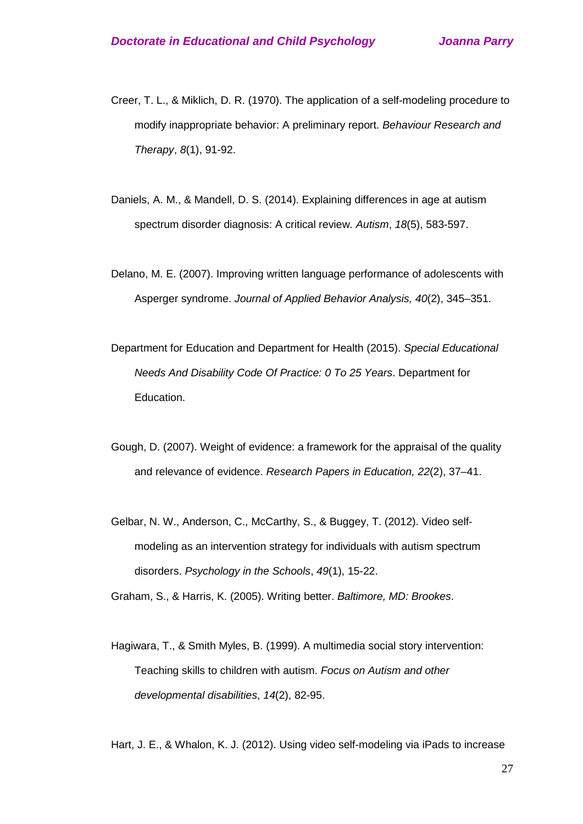- Creer, T. L., & Miklich, D. R. (1970). The application of a self-modeling procedure to modify inappropriate behavior: A preliminary report. *Behaviour Research and Therapy*, *8*(1), 91-92.
- Daniels, A. M., & Mandell, D. S. (2014). Explaining differences in age at autism spectrum disorder diagnosis: A critical review. *Autism*, *18*(5), 583-597.
- Delano, M. E. (2007). Improving written language performance of adolescents with Asperger syndrome. *Journal of Applied Behavior Analysis, 40*(2), 345–351.
- Department for Education and Department for Health (2015). *Special Educational Needs And Disability Code Of Practice: 0 To 25 Years*. Department for Education.
- Gough, D. (2007). Weight of evidence: a framework for the appraisal of the quality and relevance of evidence. *Research Papers in Education, 22*(2), 37–41.
- Gelbar, N. W., Anderson, C., McCarthy, S., & Buggey, T. (2012). Video self‐ modeling as an intervention strategy for individuals with autism spectrum disorders. *Psychology in the Schools*, *49*(1), 15-22.

Graham, S., & Harris, K. (2005). Writing better. *Baltimore, MD: Brookes*.

Hagiwara, T., & Smith Myles, B. (1999). A multimedia social story intervention: Teaching skills to children with autism. *Focus on Autism and other developmental disabilities*, *14*(2), 82-95.

Hart, J. E., & Whalon, K. J. (2012). Using video self-modeling via iPads to increase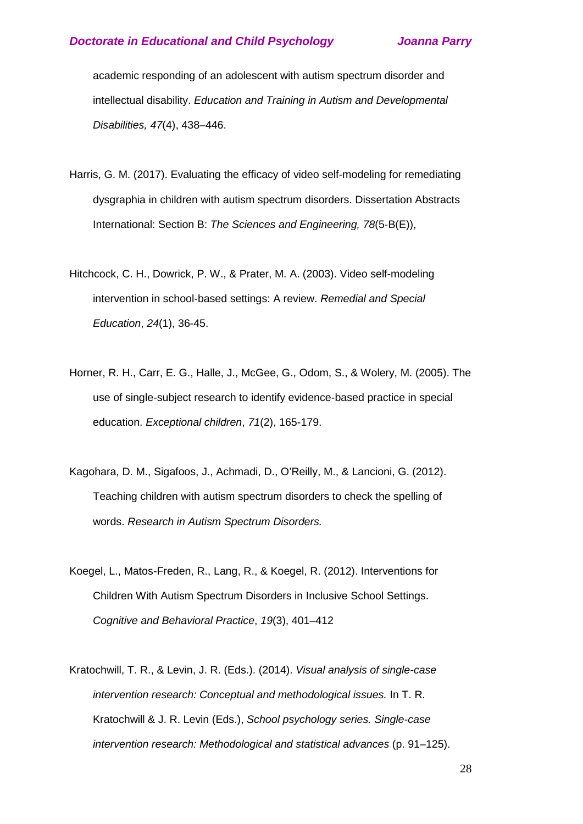academic responding of an adolescent with autism spectrum disorder and intellectual disability. *Education and Training in Autism and Developmental Disabilities, 47*(4), 438–446.

- Harris, G. M. (2017). Evaluating the efficacy of video self-modeling for remediating dysgraphia in children with autism spectrum disorders. Dissertation Abstracts International: Section B: *The Sciences and Engineering, 78*(5-B(E)),
- Hitchcock, C. H., Dowrick, P. W., & Prater, M. A. (2003). Video self-modeling intervention in school-based settings: A review. *Remedial and Special Education*, *24*(1), 36-45.
- Horner, R. H., Carr, E. G., Halle, J., McGee, G., Odom, S., & Wolery, M. (2005). The use of single-subject research to identify evidence-based practice in special education. *Exceptional children*, *71*(2), 165-179.
- Kagohara, D. M., Sigafoos, J., Achmadi, D., O'Reilly, M., & Lancioni, G. (2012). Teaching children with autism spectrum disorders to check the spelling of words. *Research in Autism Spectrum Disorders.*
- Koegel, L., Matos-Freden, R., Lang, R., & Koegel, R. (2012). Interventions for Children With Autism Spectrum Disorders in Inclusive School Settings. *Cognitive and Behavioral Practice*, *19*(3), 401–412
- Kratochwill, T. R., & Levin, J. R. (Eds.). (2014). *Visual analysis of single-case intervention research: Conceptual and methodological issues.* In T. R. Kratochwill & J. R. Levin (Eds.), *School psychology series. Single-case intervention research: Methodological and statistical advances* (p. 91–125).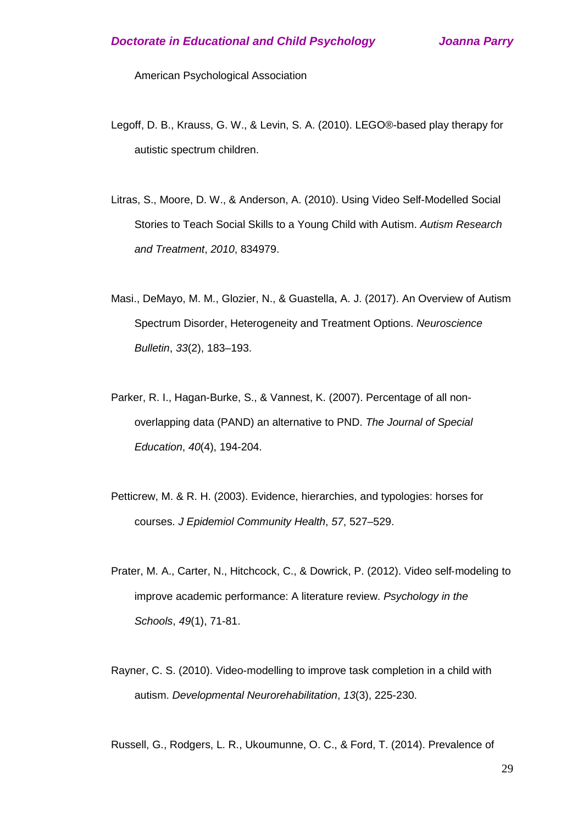American Psychological Association

- Legoff, D. B., Krauss, G. W., & Levin, S. A. (2010). LEGO®-based play therapy for autistic spectrum children.
- Litras, S., Moore, D. W., & Anderson, A. (2010). Using Video Self-Modelled Social Stories to Teach Social Skills to a Young Child with Autism. *Autism Research and Treatment*, *2010*, 834979.
- Masi., DeMayo, M. M., Glozier, N., & Guastella, A. J. (2017). An Overview of Autism Spectrum Disorder, Heterogeneity and Treatment Options. *Neuroscience Bulletin*, *33*(2), 183–193.
- Parker, R. I., Hagan-Burke, S., & Vannest, K. (2007). Percentage of all nonoverlapping data (PAND) an alternative to PND. *The Journal of Special Education*, *40*(4), 194-204.
- Petticrew, M. & R. H. (2003). Evidence, hierarchies, and typologies: horses for courses. *J Epidemiol Community Health*, *57*, 527–529.
- Prater, M. A., Carter, N., Hitchcock, C., & Dowrick, P. (2012). Video self‐modeling to improve academic performance: A literature review. *Psychology in the Schools*, *49*(1), 71-81.
- Rayner, C. S. (2010). Video-modelling to improve task completion in a child with autism. *Developmental Neurorehabilitation*, *13*(3), 225-230.

Russell, G., Rodgers, L. R., Ukoumunne, O. C., & Ford, T. (2014). Prevalence of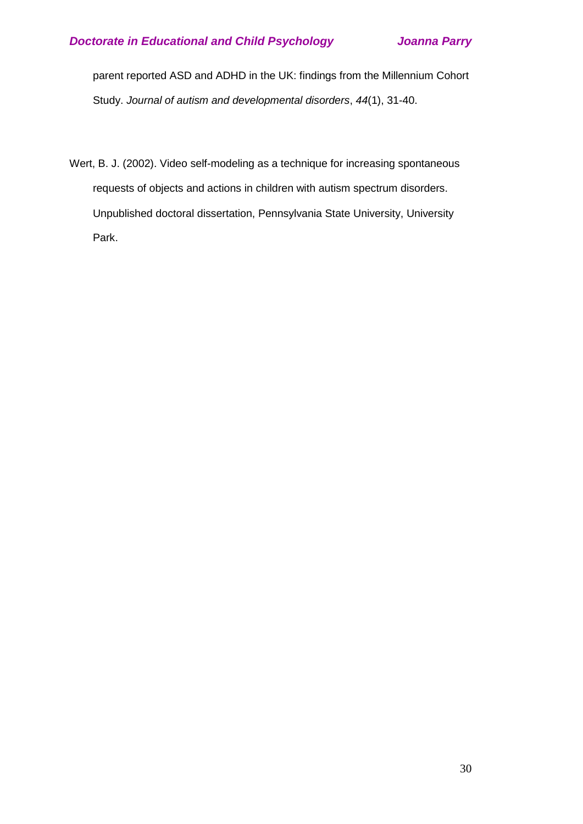parent reported ASD and ADHD in the UK: findings from the Millennium Cohort Study. *Journal of autism and developmental disorders*, *44*(1), 31-40.

Wert, B. J. (2002). Video self-modeling as a technique for increasing spontaneous requests of objects and actions in children with autism spectrum disorders. Unpublished doctoral dissertation, Pennsylvania State University, University Park.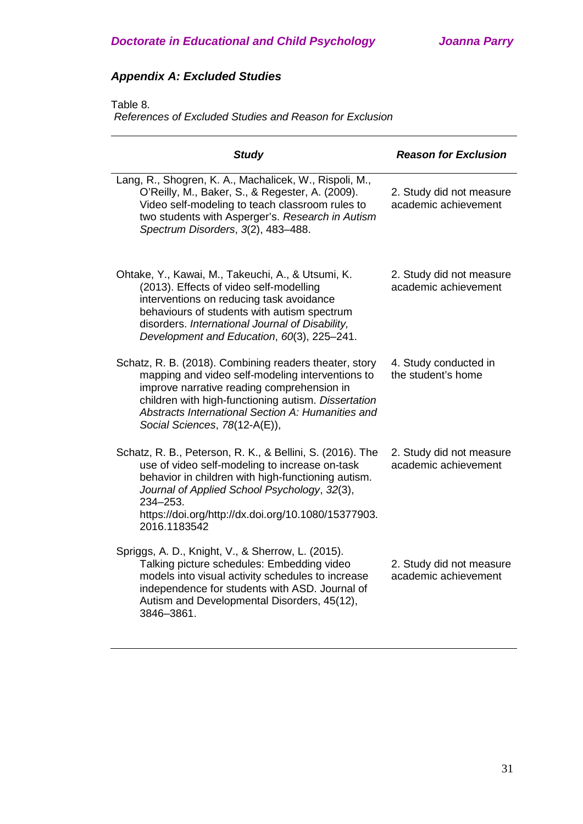# *Appendix A: Excluded Studies*

## Table 8.

*References of Excluded Studies and Reason for Exclusion*

| <b>Study</b>                                                                                                                                                                                                                                                                                                 | <b>Reason for Exclusion</b>                      |
|--------------------------------------------------------------------------------------------------------------------------------------------------------------------------------------------------------------------------------------------------------------------------------------------------------------|--------------------------------------------------|
| Lang, R., Shogren, K. A., Machalicek, W., Rispoli, M.,<br>O'Reilly, M., Baker, S., & Regester, A. (2009).<br>Video self-modeling to teach classroom rules to<br>two students with Asperger's. Research in Autism<br>Spectrum Disorders, 3(2), 483-488.                                                       | 2. Study did not measure<br>academic achievement |
| Ohtake, Y., Kawai, M., Takeuchi, A., & Utsumi, K.<br>(2013). Effects of video self-modelling<br>interventions on reducing task avoidance<br>behaviours of students with autism spectrum<br>disorders. International Journal of Disability,<br>Development and Education, 60(3), 225-241.                     | 2. Study did not measure<br>academic achievement |
| Schatz, R. B. (2018). Combining readers theater, story<br>mapping and video self-modeling interventions to<br>improve narrative reading comprehension in<br>children with high-functioning autism. Dissertation<br><b>Abstracts International Section A: Humanities and</b><br>Social Sciences, 78(12-A(E)), | 4. Study conducted in<br>the student's home      |
| Schatz, R. B., Peterson, R. K., & Bellini, S. (2016). The<br>use of video self-modeling to increase on-task<br>behavior in children with high-functioning autism.<br>Journal of Applied School Psychology, 32(3),<br>234-253.<br>https://doi.org/http://dx.doi.org/10.1080/15377903.<br>2016.1183542         | 2. Study did not measure<br>academic achievement |
| Spriggs, A. D., Knight, V., & Sherrow, L. (2015).<br>Talking picture schedules: Embedding video<br>models into visual activity schedules to increase<br>independence for students with ASD. Journal of<br>Autism and Developmental Disorders, 45(12),<br>3846-3861.                                          | 2. Study did not measure<br>academic achievement |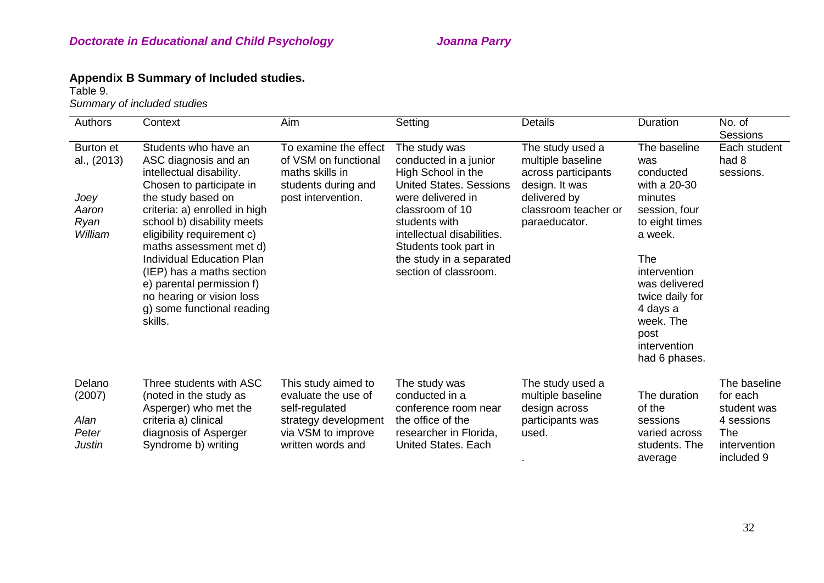# **Appendix B Summary of Included studies.**

Table 9.

*Summary of included studies*

| Authors                                                      | Context                                                                                                                                                                                                                                                                                                                                                                                                                | Aim                                                                                                                             | Setting                                                                                                                                                                                                                                                             | Details                                                                                                                                 | Duration                                                                                                                                                                                                                                      | No. of<br>Sessions                                                                         |
|--------------------------------------------------------------|------------------------------------------------------------------------------------------------------------------------------------------------------------------------------------------------------------------------------------------------------------------------------------------------------------------------------------------------------------------------------------------------------------------------|---------------------------------------------------------------------------------------------------------------------------------|---------------------------------------------------------------------------------------------------------------------------------------------------------------------------------------------------------------------------------------------------------------------|-----------------------------------------------------------------------------------------------------------------------------------------|-----------------------------------------------------------------------------------------------------------------------------------------------------------------------------------------------------------------------------------------------|--------------------------------------------------------------------------------------------|
| Burton et<br>al., (2013)<br>Joey<br>Aaron<br>Ryan<br>William | Students who have an<br>ASC diagnosis and an<br>intellectual disability.<br>Chosen to participate in<br>the study based on<br>criteria: a) enrolled in high<br>school b) disability meets<br>eligibility requirement c)<br>maths assessment met d)<br><b>Individual Education Plan</b><br>(IEP) has a maths section<br>e) parental permission f)<br>no hearing or vision loss<br>g) some functional reading<br>skills. | To examine the effect<br>of VSM on functional<br>maths skills in<br>students during and<br>post intervention.                   | The study was<br>conducted in a junior<br>High School in the<br><b>United States, Sessions</b><br>were delivered in<br>classroom of 10<br>students with<br>intellectual disabilities.<br>Students took part in<br>the study in a separated<br>section of classroom. | The study used a<br>multiple baseline<br>across participants<br>design. It was<br>delivered by<br>classroom teacher or<br>paraeducator. | The baseline<br>was<br>conducted<br>with a 20-30<br>minutes<br>session, four<br>to eight times<br>a week.<br><b>The</b><br>intervention<br>was delivered<br>twice daily for<br>4 days a<br>week. The<br>post<br>intervention<br>had 6 phases. | Each student<br>had 8<br>sessions.                                                         |
| Delano<br>(2007)<br>Alan<br>Peter<br><b>Justin</b>           | Three students with ASC<br>(noted in the study as<br>Asperger) who met the<br>criteria a) clinical<br>diagnosis of Asperger<br>Syndrome b) writing                                                                                                                                                                                                                                                                     | This study aimed to<br>evaluate the use of<br>self-regulated<br>strategy development<br>via VSM to improve<br>written words and | The study was<br>conducted in a<br>conference room near<br>the office of the<br>researcher in Florida,<br>United States. Each                                                                                                                                       | The study used a<br>multiple baseline<br>design across<br>participants was<br>used.                                                     | The duration<br>of the<br>sessions<br>varied across<br>students. The<br>average                                                                                                                                                               | The baseline<br>for each<br>student was<br>4 sessions<br>The<br>intervention<br>included 9 |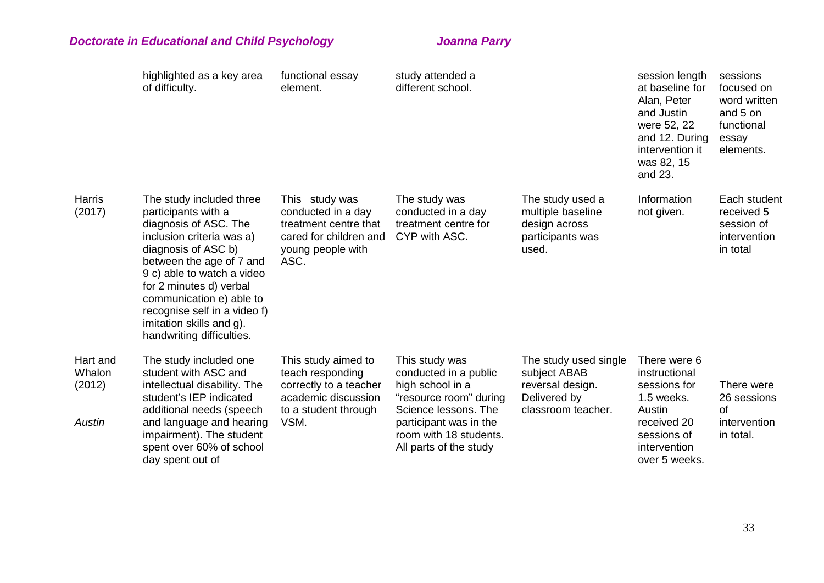|                                        | highlighted as a key area<br>of difficulty.                                                                                                                                                                                                                                                                                            | functional essay<br>element.                                                                                             | study attended a<br>different school.                                                                                                                                                       |                                                                                                 | session length<br>at baseline for<br>Alan, Peter<br>and Justin<br>were 52, 22<br>and 12. During<br>intervention it<br>was 82, 15<br>and 23. | sessions<br>focused on<br>word written<br>and 5 on<br>functional<br>essay<br>elements. |
|----------------------------------------|----------------------------------------------------------------------------------------------------------------------------------------------------------------------------------------------------------------------------------------------------------------------------------------------------------------------------------------|--------------------------------------------------------------------------------------------------------------------------|---------------------------------------------------------------------------------------------------------------------------------------------------------------------------------------------|-------------------------------------------------------------------------------------------------|---------------------------------------------------------------------------------------------------------------------------------------------|----------------------------------------------------------------------------------------|
| Harris<br>(2017)                       | The study included three<br>participants with a<br>diagnosis of ASC. The<br>inclusion criteria was a)<br>diagnosis of ASC b)<br>between the age of 7 and<br>9 c) able to watch a video<br>for 2 minutes d) verbal<br>communication e) able to<br>recognise self in a video f)<br>imitation skills and g).<br>handwriting difficulties. | This study was<br>conducted in a day<br>treatment centre that<br>cared for children and<br>young people with<br>ASC.     | The study was<br>conducted in a day<br>treatment centre for<br>CYP with ASC.                                                                                                                | The study used a<br>multiple baseline<br>design across<br>participants was<br>used.             | Information<br>not given.                                                                                                                   | Each student<br>received 5<br>session of<br>intervention<br>in total                   |
| Hart and<br>Whalon<br>(2012)<br>Austin | The study included one<br>student with ASC and<br>intellectual disability. The<br>student's IEP indicated<br>additional needs (speech<br>and language and hearing<br>impairment). The student<br>spent over 60% of school<br>day spent out of                                                                                          | This study aimed to<br>teach responding<br>correctly to a teacher<br>academic discussion<br>to a student through<br>VSM. | This study was<br>conducted in a public<br>high school in a<br>"resource room" during<br>Science lessons. The<br>participant was in the<br>room with 18 students.<br>All parts of the study | The study used single<br>subject ABAB<br>reversal design.<br>Delivered by<br>classroom teacher. | There were 6<br>instructional<br>sessions for<br>$1.5$ weeks.<br>Austin<br>received 20<br>sessions of<br>intervention<br>over 5 weeks.      | There were<br>26 sessions<br>of<br>intervention<br>in total.                           |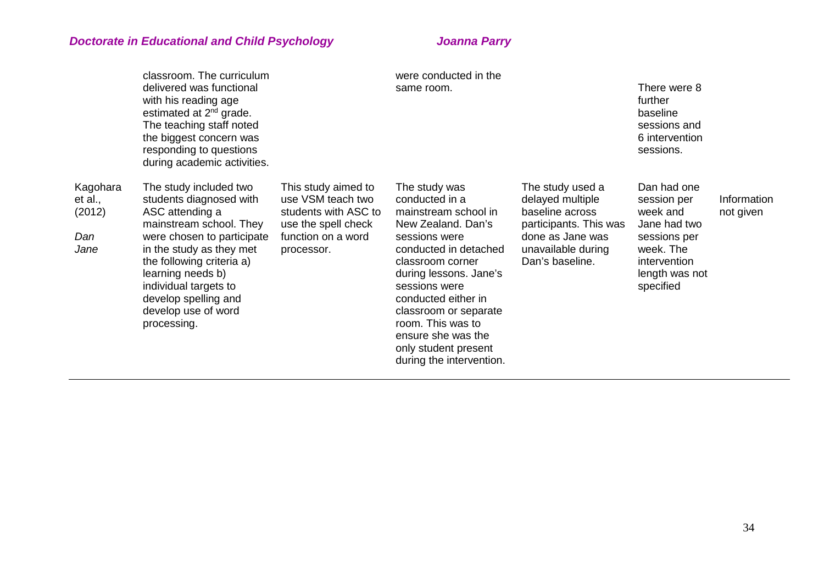|                                              | classroom. The curriculum<br>delivered was functional<br>with his reading age<br>estimated at $2^{nd}$ grade.<br>The teaching staff noted<br>the biggest concern was<br>responding to questions<br>during academic activities.                                                                     |                                                                                                                             | were conducted in the<br>same room.                                                                                                                                                                                                                                                                                                   |                                                                                                                                                | There were 8<br>further<br>baseline<br>sessions and<br>6 intervention<br>sessions.                                                 |                          |
|----------------------------------------------|----------------------------------------------------------------------------------------------------------------------------------------------------------------------------------------------------------------------------------------------------------------------------------------------------|-----------------------------------------------------------------------------------------------------------------------------|---------------------------------------------------------------------------------------------------------------------------------------------------------------------------------------------------------------------------------------------------------------------------------------------------------------------------------------|------------------------------------------------------------------------------------------------------------------------------------------------|------------------------------------------------------------------------------------------------------------------------------------|--------------------------|
| Kagohara<br>et al.,<br>(2012)<br>Dan<br>Jane | The study included two<br>students diagnosed with<br>ASC attending a<br>mainstream school. They<br>were chosen to participate<br>in the study as they met<br>the following criteria a)<br>learning needs b)<br>individual targets to<br>develop spelling and<br>develop use of word<br>processing. | This study aimed to<br>use VSM teach two<br>students with ASC to<br>use the spell check<br>function on a word<br>processor. | The study was<br>conducted in a<br>mainstream school in<br>New Zealand. Dan's<br>sessions were<br>conducted in detached<br>classroom corner<br>during lessons. Jane's<br>sessions were<br>conducted either in<br>classroom or separate<br>room. This was to<br>ensure she was the<br>only student present<br>during the intervention. | The study used a<br>delayed multiple<br>baseline across<br>participants. This was<br>done as Jane was<br>unavailable during<br>Dan's baseline. | Dan had one<br>session per<br>week and<br>Jane had two<br>sessions per<br>week. The<br>intervention<br>length was not<br>specified | Information<br>not given |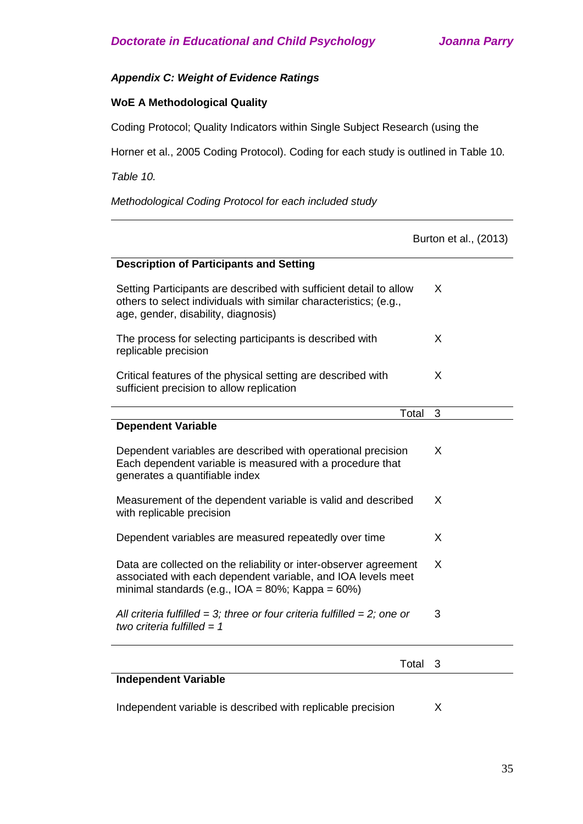### *Appendix C: Weight of Evidence Ratings*

## **WoE A Methodological Quality**

Coding Protocol; Quality Indicators within Single Subject Research (using the

Horner et al., 2005 Coding Protocol). Coding for each study is outlined in Table 10.

*Table 10.* 

*Methodological Coding Protocol for each included study*

|                                                                                                                                                                                               | Burton et al., (2013) |
|-----------------------------------------------------------------------------------------------------------------------------------------------------------------------------------------------|-----------------------|
| <b>Description of Participants and Setting</b>                                                                                                                                                |                       |
| Setting Participants are described with sufficient detail to allow<br>others to select individuals with similar characteristics; (e.g.,<br>age, gender, disability, diagnosis)                | X                     |
| The process for selecting participants is described with<br>replicable precision                                                                                                              | X                     |
| Critical features of the physical setting are described with<br>sufficient precision to allow replication                                                                                     | X                     |
|                                                                                                                                                                                               | Total<br>3            |
| <b>Dependent Variable</b>                                                                                                                                                                     |                       |
| Dependent variables are described with operational precision<br>Each dependent variable is measured with a procedure that<br>generates a quantifiable index                                   | X                     |
| Measurement of the dependent variable is valid and described<br>with replicable precision                                                                                                     | X                     |
| Dependent variables are measured repeatedly over time                                                                                                                                         | X                     |
| Data are collected on the reliability or inter-observer agreement<br>associated with each dependent variable, and IOA levels meet<br>minimal standards (e.g., IOA = $80\%$ ; Kappa = $60\%$ ) | X                     |
| All criteria fulfilled = 3; three or four criteria fulfilled = 2; one or<br>two criteria fulfilled = $1$                                                                                      | 3                     |
|                                                                                                                                                                                               | Total<br>3            |
| <b>Independent Variable</b>                                                                                                                                                                   |                       |

Independent variable is described with replicable precision X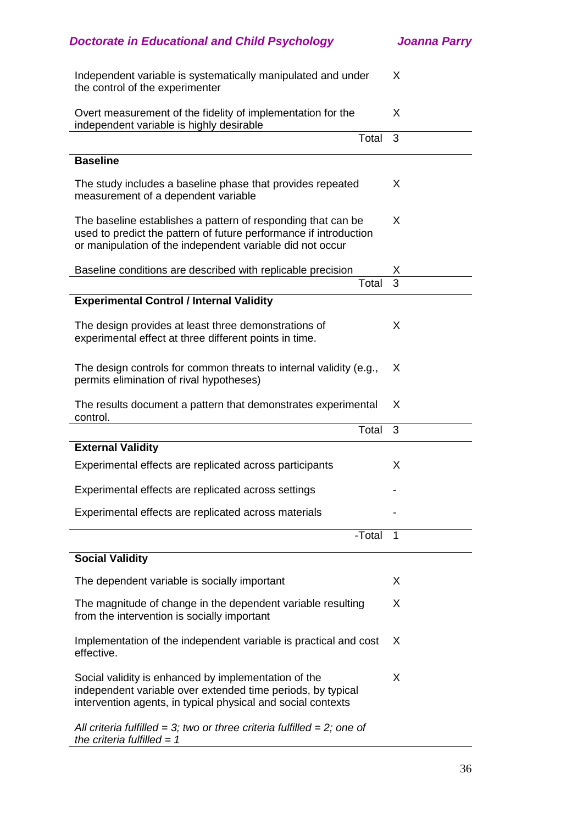| Independent variable is systematically manipulated and under<br>the control of the experimenter                                                                                                | X |
|------------------------------------------------------------------------------------------------------------------------------------------------------------------------------------------------|---|
| Overt measurement of the fidelity of implementation for the<br>independent variable is highly desirable                                                                                        | X |
| Total                                                                                                                                                                                          | 3 |
| <b>Baseline</b>                                                                                                                                                                                |   |
| The study includes a baseline phase that provides repeated<br>measurement of a dependent variable                                                                                              | X |
| The baseline establishes a pattern of responding that can be<br>used to predict the pattern of future performance if introduction<br>or manipulation of the independent variable did not occur | X |
| Baseline conditions are described with replicable precision                                                                                                                                    | X |
| Total                                                                                                                                                                                          | 3 |
| <b>Experimental Control / Internal Validity</b>                                                                                                                                                |   |
| The design provides at least three demonstrations of<br>experimental effect at three different points in time.                                                                                 | X |
| The design controls for common threats to internal validity (e.g.,<br>permits elimination of rival hypotheses)                                                                                 | X |
| The results document a pattern that demonstrates experimental<br>control.                                                                                                                      | X |
| Total                                                                                                                                                                                          | 3 |
| <b>External Validity</b>                                                                                                                                                                       |   |
| Experimental effects are replicated across participants                                                                                                                                        | X |
| Experimental effects are replicated across settings                                                                                                                                            |   |
| Experimental effects are replicated across materials                                                                                                                                           |   |
| -Total                                                                                                                                                                                         | 1 |
| <b>Social Validity</b>                                                                                                                                                                         |   |
| The dependent variable is socially important                                                                                                                                                   | X |
| The magnitude of change in the dependent variable resulting<br>from the intervention is socially important                                                                                     | X |
| Implementation of the independent variable is practical and cost<br>effective.                                                                                                                 | X |
| Social validity is enhanced by implementation of the<br>independent variable over extended time periods, by typical<br>intervention agents, in typical physical and social contexts            | X |
| All criteria fulfilled = 3; two or three criteria fulfilled = 2; one of<br>the criteria fulfilled = $1$                                                                                        |   |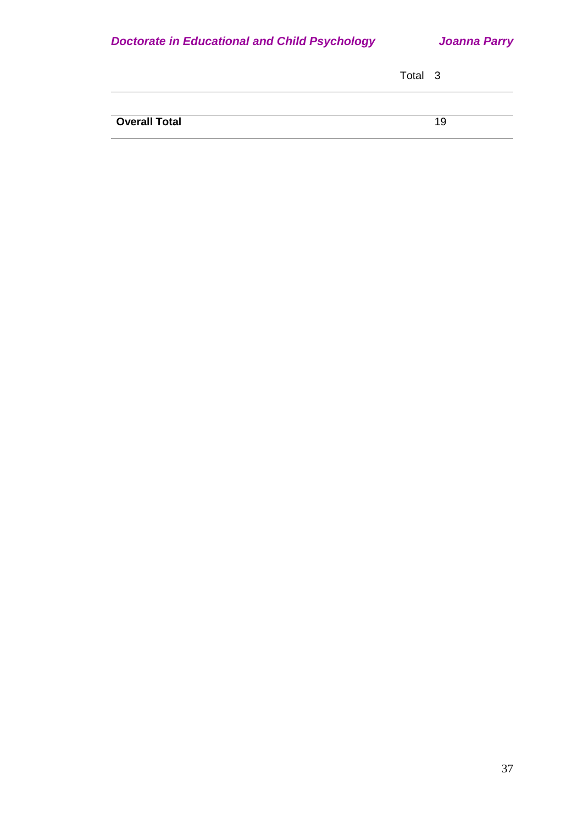|                      | Total 3 |
|----------------------|---------|
|                      |         |
| <b>Overall Total</b> | 19      |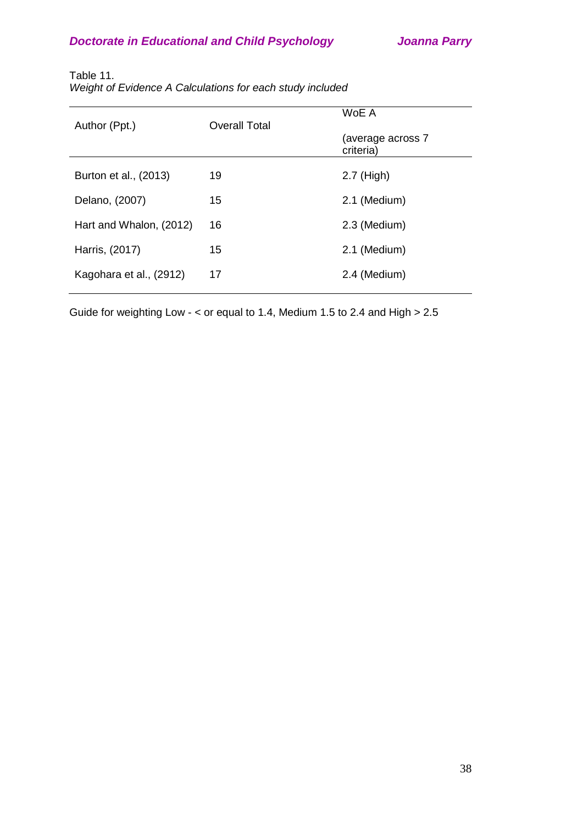|    | WoE A                          |
|----|--------------------------------|
|    | (average across 7<br>criteria) |
| 19 | 2.7 (High)                     |
| 15 | 2.1 (Medium)                   |
| 16 | 2.3 (Medium)                   |
| 15 | 2.1 (Medium)                   |
| 17 | 2.4 (Medium)                   |
|    | <b>Overall Total</b>           |

## Table 11. *Weight of Evidence A Calculations for each study included*

Guide for weighting Low - < or equal to 1.4, Medium 1.5 to 2.4 and High > 2.5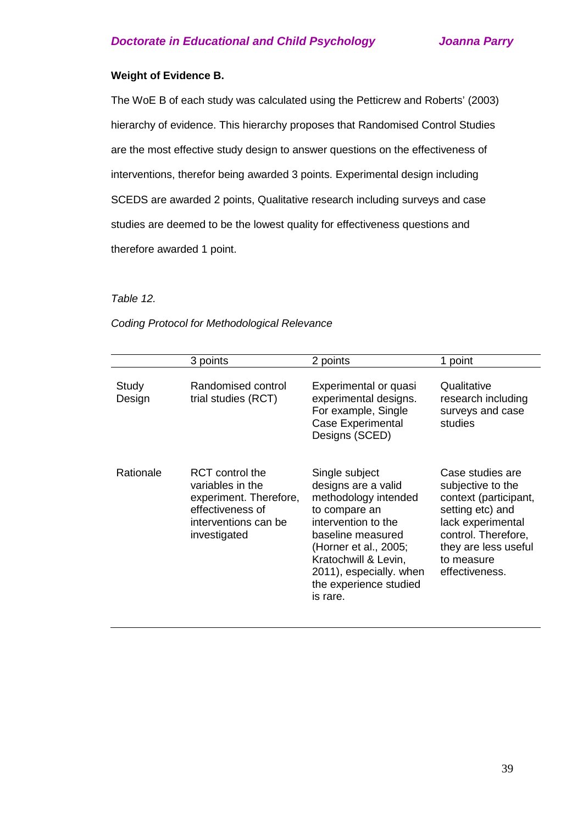### **Weight of Evidence B.**

The WoE B of each study was calculated using the Petticrew and Roberts' (2003) hierarchy of evidence. This hierarchy proposes that Randomised Control Studies are the most effective study design to answer questions on the effectiveness of interventions, therefor being awarded 3 points. Experimental design including SCEDS are awarded 2 points, Qualitative research including surveys and case studies are deemed to be the lowest quality for effectiveness questions and therefore awarded 1 point.

### *Table 12.*

### *Coding Protocol for Methodological Relevance*

|                 | 3 points                                                                                                                  | 2 points                                                                                                                                                                                                                                     | 1 point                                                                                                                                                                                |
|-----------------|---------------------------------------------------------------------------------------------------------------------------|----------------------------------------------------------------------------------------------------------------------------------------------------------------------------------------------------------------------------------------------|----------------------------------------------------------------------------------------------------------------------------------------------------------------------------------------|
| Study<br>Design | Randomised control<br>trial studies (RCT)                                                                                 | Experimental or quasi<br>experimental designs.<br>For example, Single<br><b>Case Experimental</b><br>Designs (SCED)                                                                                                                          | Qualitative<br>research including<br>surveys and case<br>studies                                                                                                                       |
| Rationale       | RCT control the<br>variables in the<br>experiment. Therefore,<br>effectiveness of<br>interventions can be<br>investigated | Single subject<br>designs are a valid<br>methodology intended<br>to compare an<br>intervention to the<br>baseline measured<br>(Horner et al., 2005;<br>Kratochwill & Levin,<br>2011), especially. when<br>the experience studied<br>is rare. | Case studies are<br>subjective to the<br>context (participant,<br>setting etc) and<br>lack experimental<br>control. Therefore,<br>they are less useful<br>to measure<br>effectiveness. |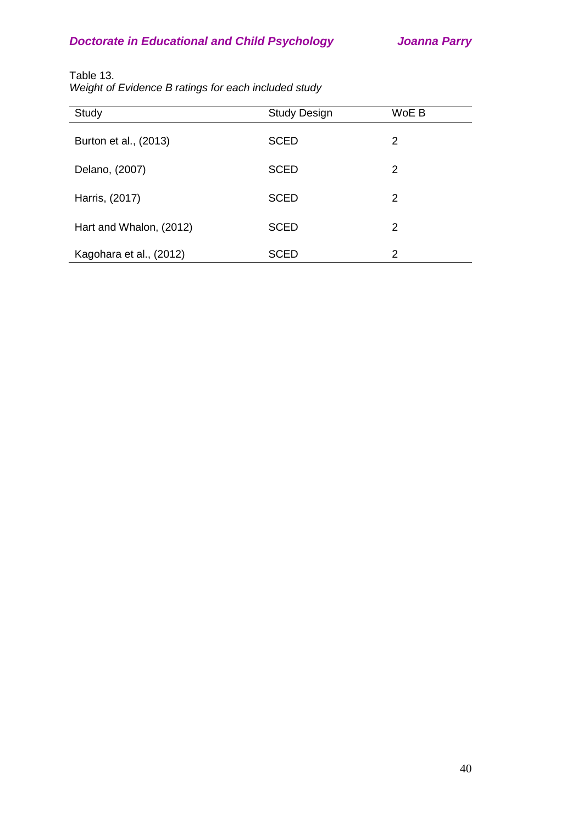Table 13.

| Study                   | <b>Study Design</b> | WoE B |
|-------------------------|---------------------|-------|
| Burton et al., (2013)   | <b>SCED</b>         | 2     |
| Delano, (2007)          | <b>SCED</b>         | 2     |
| Harris, (2017)          | <b>SCED</b>         | 2     |
| Hart and Whalon, (2012) | <b>SCED</b>         | 2     |
| Kagohara et al., (2012) | <b>SCED</b>         | 2     |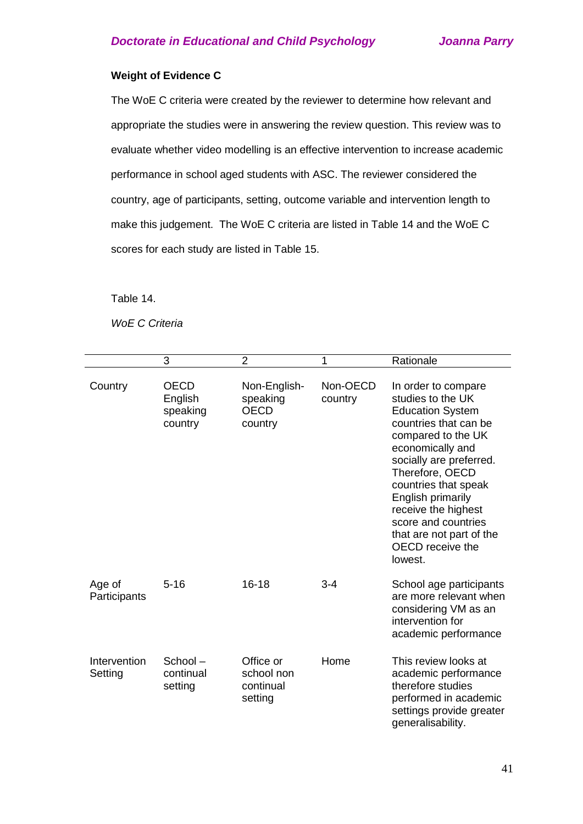## **Weight of Evidence C**

The WoE C criteria were created by the reviewer to determine how relevant and appropriate the studies were in answering the review question. This review was to evaluate whether video modelling is an effective intervention to increase academic performance in school aged students with ASC. The reviewer considered the country, age of participants, setting, outcome variable and intervention length to make this judgement. The WoE C criteria are listed in Table 14 and the WoE C scores for each study are listed in Table 15.

Table 14.

*WoE C Criteria*

|                         | 3                                             | $\overline{2}$                                     | 1                   | Rationale                                                                                                                                                                                                                                                                                                                                         |
|-------------------------|-----------------------------------------------|----------------------------------------------------|---------------------|---------------------------------------------------------------------------------------------------------------------------------------------------------------------------------------------------------------------------------------------------------------------------------------------------------------------------------------------------|
| Country                 | <b>OECD</b><br>English<br>speaking<br>country | Non-English-<br>speaking<br><b>OECD</b><br>country | Non-OECD<br>country | In order to compare<br>studies to the UK<br><b>Education System</b><br>countries that can be<br>compared to the UK<br>economically and<br>socially are preferred.<br>Therefore, OECD<br>countries that speak<br><b>English primarily</b><br>receive the highest<br>score and countries<br>that are not part of the<br>OECD receive the<br>lowest. |
| Age of<br>Participants  | $5 - 16$                                      | $16 - 18$                                          | $3 - 4$             | School age participants<br>are more relevant when<br>considering VM as an<br>intervention for<br>academic performance                                                                                                                                                                                                                             |
| Intervention<br>Setting | School-<br>continual<br>setting               | Office or<br>school non<br>continual<br>setting    | Home                | This review looks at<br>academic performance<br>therefore studies<br>performed in academic<br>settings provide greater<br>generalisability.                                                                                                                                                                                                       |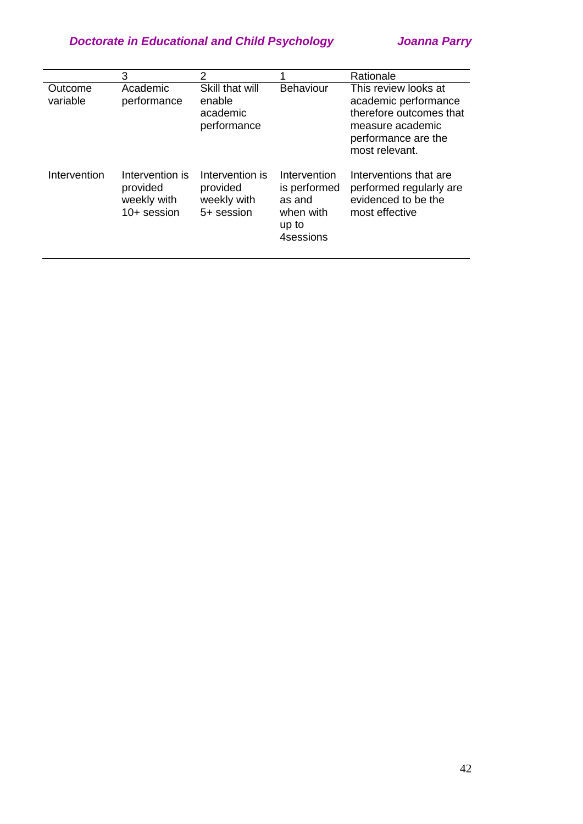|                     | 3                                                           | 2                                                        |                                                                           | Rationale                                                                                                                            |
|---------------------|-------------------------------------------------------------|----------------------------------------------------------|---------------------------------------------------------------------------|--------------------------------------------------------------------------------------------------------------------------------------|
| Outcome<br>variable | Academic<br>performance                                     | Skill that will<br>enable<br>academic<br>performance     | <b>Behaviour</b>                                                          | This review looks at<br>academic performance<br>therefore outcomes that<br>measure academic<br>performance are the<br>most relevant. |
| Intervention        | Intervention is<br>provided<br>weekly with<br>$10+$ session | Intervention is<br>provided<br>weekly with<br>5+ session | Intervention<br>is performed<br>as and<br>when with<br>up to<br>4sessions | Interventions that are<br>performed regularly are<br>evidenced to be the<br>most effective                                           |